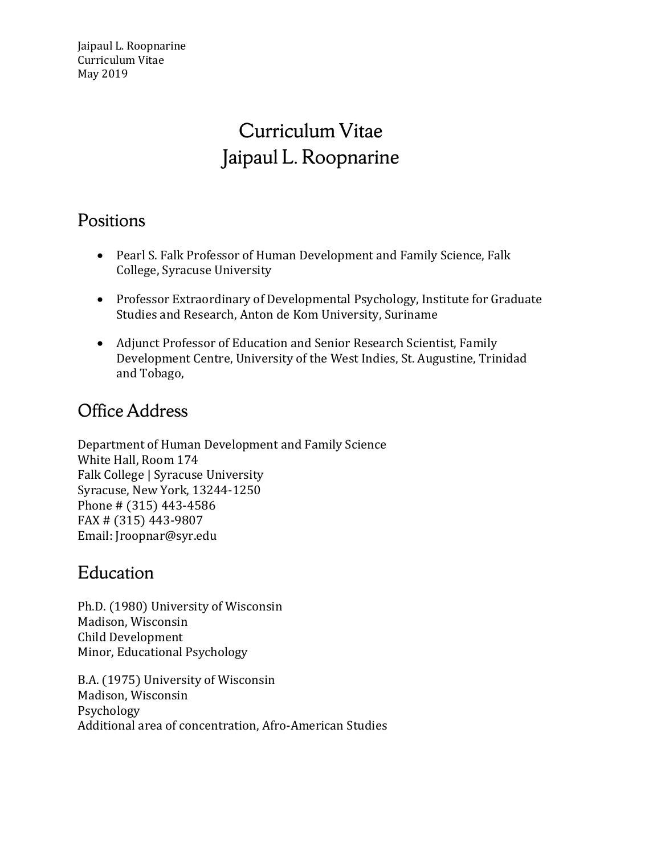# Curriculum Vitae Jaipaul L. Roopnarine

# Positions

- Pearl S. Falk Professor of Human Development and Family Science, Falk College, Syracuse University
- Professor Extraordinary of Developmental Psychology, Institute for Graduate Studies and Research, Anton de Kom University, Suriname
- Adjunct Professor of Education and Senior Research Scientist, Family Development Centre, University of the West Indies, St. Augustine, Trinidad and Tobago,

# Office Address

Department of Human Development and Family Science White Hall, Room 174 Falk College | Syracuse University Syracuse, New York, 13244-1250 Phone # (315) 443-4586 FAX # (315) 443-9807 Email: Jroopnar@syr.edu

### Education

Ph.D. (1980) University of Wisconsin Madison, Wisconsin Child Development Minor, Educational Psychology

B.A. (1975) University of Wisconsin Madison, Wisconsin Psychology Additional area of concentration, Afro-American Studies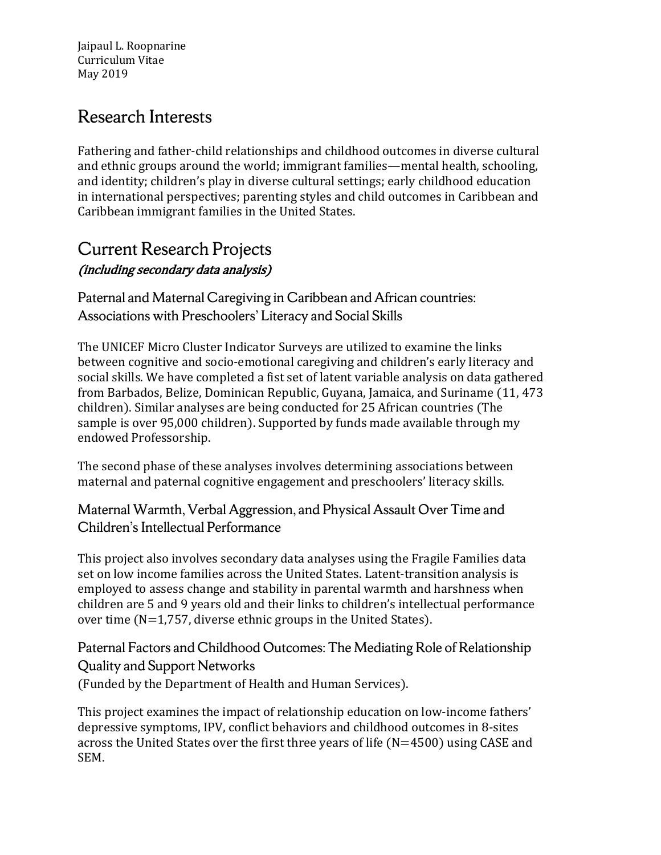# Research Interests

Fathering and father-child relationships and childhood outcomes in diverse cultural and ethnic groups around the world; immigrant families—mental health, schooling, and identity; children's play in diverse cultural settings; early childhood education in international perspectives; parenting styles and child outcomes in Caribbean and Caribbean immigrant families in the United States.

### Current Research Projects (including secondary data analysis)

Paternal and Maternal Caregiving in Caribbean and African countries: Associations with Preschoolers' Literacy and Social Skills

The UNICEF Micro Cluster Indicator Surveys are utilized to examine the links between cognitive and socio-emotional caregiving and children's early literacy and social skills. We have completed a fist set of latent variable analysis on data gathered from Barbados, Belize, Dominican Republic, Guyana, Jamaica, and Suriname (11, 473 children). Similar analyses are being conducted for 25 African countries (The sample is over 95,000 children). Supported by funds made available through my endowed Professorship.

The second phase of these analyses involves determining associations between maternal and paternal cognitive engagement and preschoolers' literacy skills.

#### Maternal Warmth, Verbal Aggression, and Physical Assault Over Time and Children's Intellectual Performance

This project also involves secondary data analyses using the Fragile Families data set on low income families across the United States. Latent-transition analysis is employed to assess change and stability in parental warmth and harshness when children are 5 and 9 years old and their links to children's intellectual performance over time (N=1,757, diverse ethnic groups in the United States).

### Paternal Factors and Childhood Outcomes: The Mediating Role of Relationship Quality and Support Networks

(Funded by the Department of Health and Human Services).

This project examines the impact of relationship education on low-income fathers' depressive symptoms, IPV, conflict behaviors and childhood outcomes in 8-sites across the United States over the first three years of life (N=4500) using CASE and SEM.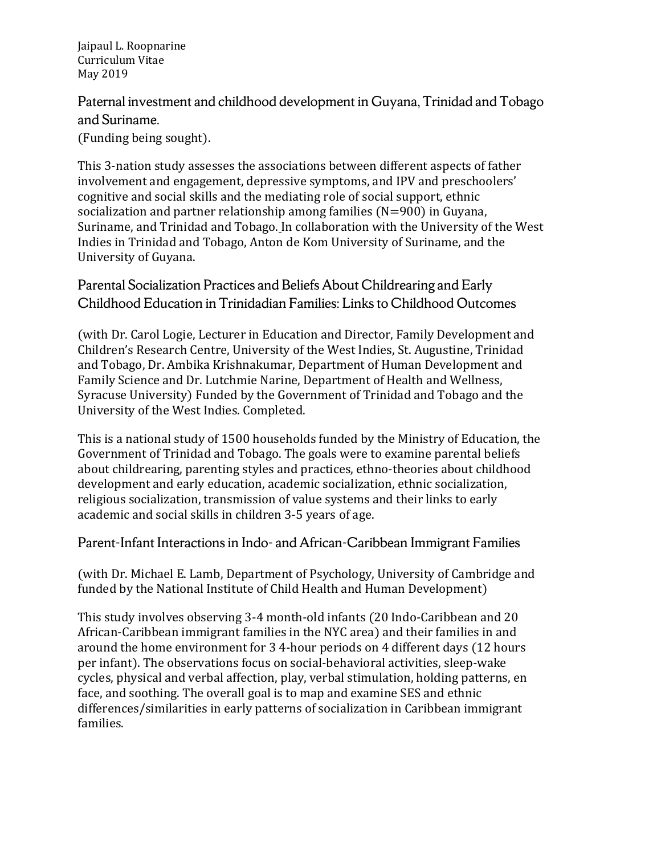Paternal investment and childhood development in Guyana, Trinidad and Tobago and Suriname.

(Funding being sought).

This 3-nation study assesses the associations between different aspects of father involvement and engagement, depressive symptoms, and IPV and preschoolers' cognitive and social skills and the mediating role of social support, ethnic socialization and partner relationship among families (N=900) in Guyana, Suriname, and Trinidad and Tobago. In collaboration with the University of the West Indies in Trinidad and Tobago, Anton de Kom University of Suriname, and the University of Guyana.

Parental Socialization Practices and Beliefs About Childrearing and Early Childhood Education in Trinidadian Families: Links to Childhood Outcomes

(with Dr. Carol Logie, Lecturer in Education and Director, Family Development and Children's Research Centre, University of the West Indies, St. Augustine, Trinidad and Tobago, Dr. Ambika Krishnakumar, Department of Human Development and Family Science and Dr. Lutchmie Narine, Department of Health and Wellness, Syracuse University) Funded by the Government of Trinidad and Tobago and the University of the West Indies. Completed.

This is a national study of 1500 households funded by the Ministry of Education, the Government of Trinidad and Tobago. The goals were to examine parental beliefs about childrearing, parenting styles and practices, ethno-theories about childhood development and early education, academic socialization, ethnic socialization, religious socialization, transmission of value systems and their links to early academic and social skills in children 3-5 years of age.

#### Parent-Infant Interactions in Indo- and African-Caribbean Immigrant Families

(with Dr. Michael E. Lamb, Department of Psychology, University of Cambridge and funded by the National Institute of Child Health and Human Development)

This study involves observing 3-4 month-old infants (20 Indo-Caribbean and 20 African-Caribbean immigrant families in the NYC area) and their families in and around the home environment for 3 4-hour periods on 4 different days (12 hours per infant). The observations focus on social-behavioral activities, sleep-wake cycles, physical and verbal affection, play, verbal stimulation, holding patterns, en face, and soothing. The overall goal is to map and examine SES and ethnic differences/similarities in early patterns of socialization in Caribbean immigrant families.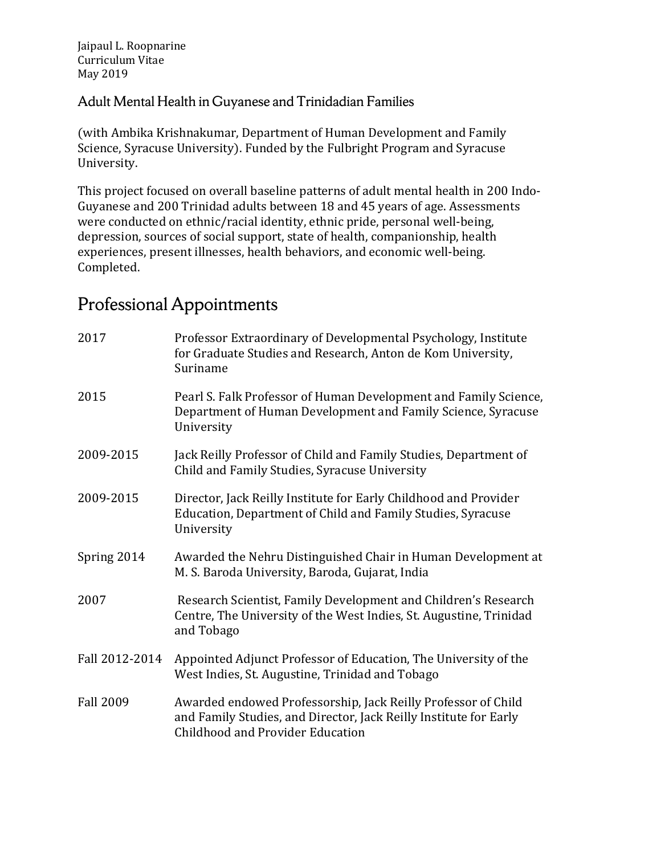Adult Mental Health in Guyanese and Trinidadian Families

(with Ambika Krishnakumar, Department of Human Development and Family Science, Syracuse University). Funded by the Fulbright Program and Syracuse University.

This project focused on overall baseline patterns of adult mental health in 200 Indo-Guyanese and 200 Trinidad adults between 18 and 45 years of age. Assessments were conducted on ethnic/racial identity, ethnic pride, personal well-being, depression, sources of social support, state of health, companionship, health experiences, present illnesses, health behaviors, and economic well-being. Completed.

# Professional Appointments

| 2017             | Professor Extraordinary of Developmental Psychology, Institute<br>for Graduate Studies and Research, Anton de Kom University,<br>Suriname                              |
|------------------|------------------------------------------------------------------------------------------------------------------------------------------------------------------------|
| 2015             | Pearl S. Falk Professor of Human Development and Family Science,<br>Department of Human Development and Family Science, Syracuse<br>University                         |
| 2009-2015        | Jack Reilly Professor of Child and Family Studies, Department of<br>Child and Family Studies, Syracuse University                                                      |
| 2009-2015        | Director, Jack Reilly Institute for Early Childhood and Provider<br>Education, Department of Child and Family Studies, Syracuse<br>University                          |
| Spring 2014      | Awarded the Nehru Distinguished Chair in Human Development at<br>M. S. Baroda University, Baroda, Gujarat, India                                                       |
| 2007             | Research Scientist, Family Development and Children's Research<br>Centre, The University of the West Indies, St. Augustine, Trinidad<br>and Tobago                     |
| Fall 2012-2014   | Appointed Adjunct Professor of Education, The University of the<br>West Indies, St. Augustine, Trinidad and Tobago                                                     |
| <b>Fall 2009</b> | Awarded endowed Professorship, Jack Reilly Professor of Child<br>and Family Studies, and Director, Jack Reilly Institute for Early<br>Childhood and Provider Education |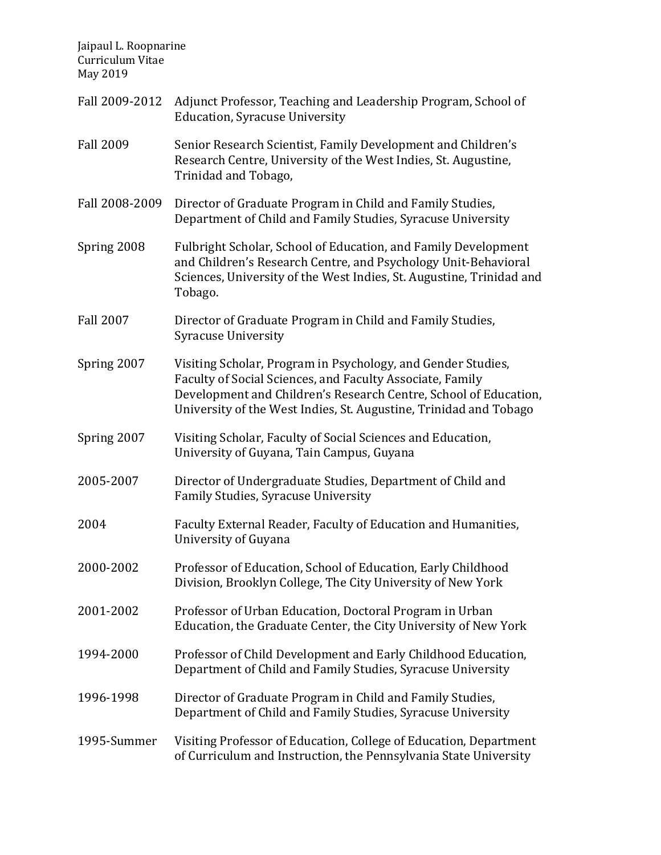- Fall 2009-2012 Adjunct Professor, Teaching and Leadership Program, School of Education, Syracuse University
- Fall 2009 Senior Research Scientist, Family Development and Children's Research Centre, University of the West Indies, St. Augustine, Trinidad and Tobago,
- Fall 2008-2009 Director of Graduate Program in Child and Family Studies, Department of Child and Family Studies, Syracuse University
- Spring 2008 Fulbright Scholar, School of Education, and Family Development and Children's Research Centre, and Psychology Unit-Behavioral Sciences, University of the West Indies, St. Augustine, Trinidad and Tobago.
- Fall 2007 Director of Graduate Program in Child and Family Studies, Syracuse University
- Spring 2007 Visiting Scholar, Program in Psychology, and Gender Studies, Faculty of Social Sciences, and Faculty Associate, Family Development and Children's Research Centre, School of Education, University of the West Indies, St. Augustine, Trinidad and Tobago
- Spring 2007 Visiting Scholar, Faculty of Social Sciences and Education, University of Guyana, Tain Campus, Guyana
- 2005-2007 Director of Undergraduate Studies, Department of Child and Family Studies, Syracuse University
- 2004 Faculty External Reader, Faculty of Education and Humanities, University of Guyana
- 2000-2002 Professor of Education, School of Education, Early Childhood Division, Brooklyn College, The City University of New York
- 2001-2002 Professor of Urban Education, Doctoral Program in Urban Education, the Graduate Center, the City University of New York
- 1994-2000 Professor of Child Development and Early Childhood Education, Department of Child and Family Studies, Syracuse University
- 1996-1998 Director of Graduate Program in Child and Family Studies, Department of Child and Family Studies, Syracuse University
- 1995-Summer Visiting Professor of Education, College of Education, Department of Curriculum and Instruction, the Pennsylvania State University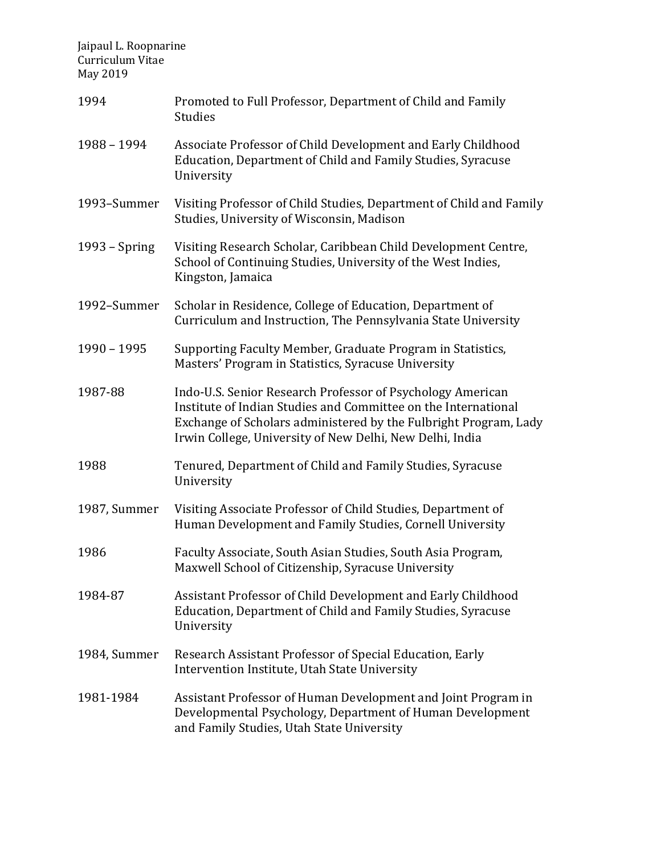| 1994          | Promoted to Full Professor, Department of Child and Family<br><b>Studies</b>                                                                                                                                                                                 |
|---------------|--------------------------------------------------------------------------------------------------------------------------------------------------------------------------------------------------------------------------------------------------------------|
| 1988 - 1994   | Associate Professor of Child Development and Early Childhood<br>Education, Department of Child and Family Studies, Syracuse<br>University                                                                                                                    |
| 1993-Summer   | Visiting Professor of Child Studies, Department of Child and Family<br>Studies, University of Wisconsin, Madison                                                                                                                                             |
| 1993 - Spring | Visiting Research Scholar, Caribbean Child Development Centre,<br>School of Continuing Studies, University of the West Indies,<br>Kingston, Jamaica                                                                                                          |
| 1992-Summer   | Scholar in Residence, College of Education, Department of<br>Curriculum and Instruction, The Pennsylvania State University                                                                                                                                   |
| 1990 - 1995   | Supporting Faculty Member, Graduate Program in Statistics,<br>Masters' Program in Statistics, Syracuse University                                                                                                                                            |
| 1987-88       | Indo-U.S. Senior Research Professor of Psychology American<br>Institute of Indian Studies and Committee on the International<br>Exchange of Scholars administered by the Fulbright Program, Lady<br>Irwin College, University of New Delhi, New Delhi, India |
| 1988          | Tenured, Department of Child and Family Studies, Syracuse<br>University                                                                                                                                                                                      |
| 1987, Summer  | Visiting Associate Professor of Child Studies, Department of<br>Human Development and Family Studies, Cornell University                                                                                                                                     |
| 1986          | Faculty Associate, South Asian Studies, South Asia Program,<br>Maxwell School of Citizenship, Syracuse University                                                                                                                                            |
| 1984-87       | Assistant Professor of Child Development and Early Childhood<br>Education, Department of Child and Family Studies, Syracuse<br>University                                                                                                                    |
| 1984, Summer  | Research Assistant Professor of Special Education, Early<br>Intervention Institute, Utah State University                                                                                                                                                    |
| 1981-1984     | Assistant Professor of Human Development and Joint Program in<br>Developmental Psychology, Department of Human Development<br>and Family Studies, Utah State University                                                                                      |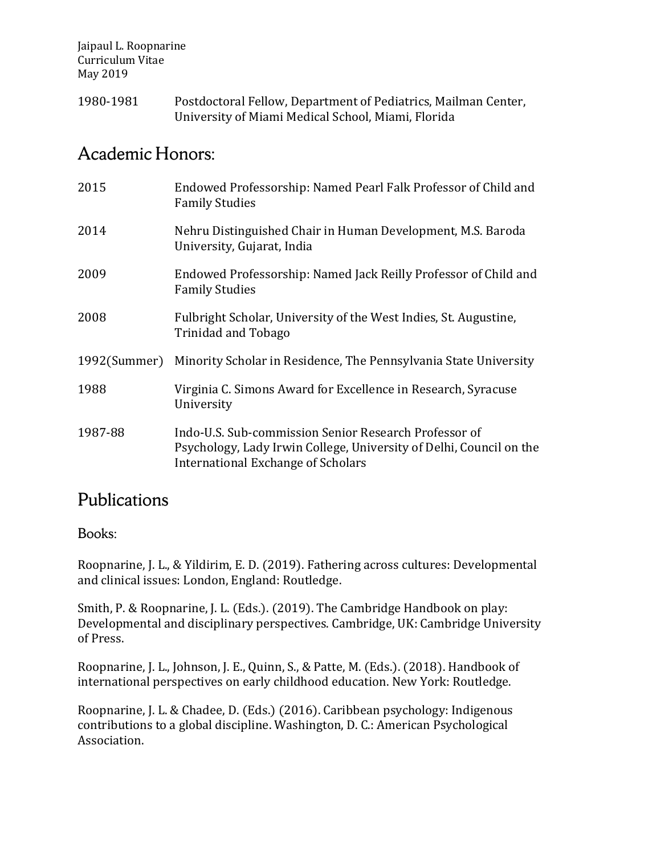1980-1981 Postdoctoral Fellow, Department of Pediatrics, Mailman Center, University of Miami Medical School, Miami, Florida

### Academic Honors:

| 2015         | Endowed Professorship: Named Pearl Falk Professor of Child and<br><b>Family Studies</b>                                                                            |
|--------------|--------------------------------------------------------------------------------------------------------------------------------------------------------------------|
| 2014         | Nehru Distinguished Chair in Human Development, M.S. Baroda<br>University, Gujarat, India                                                                          |
| 2009         | Endowed Professorship: Named Jack Reilly Professor of Child and<br><b>Family Studies</b>                                                                           |
| 2008         | Fulbright Scholar, University of the West Indies, St. Augustine,<br><b>Trinidad and Tobago</b>                                                                     |
| 1992(Summer) | Minority Scholar in Residence, The Pennsylvania State University                                                                                                   |
| 1988         | Virginia C. Simons Award for Excellence in Research, Syracuse<br>University                                                                                        |
| 1987-88      | Indo-U.S. Sub-commission Senior Research Professor of<br>Psychology, Lady Irwin College, University of Delhi, Council on the<br>International Exchange of Scholars |

### Publications

Books:

Roopnarine, J. L., & Yildirim, E. D. (2019). Fathering across cultures: Developmental and clinical issues: London, England: Routledge.

Smith, P. & Roopnarine, J. L. (Eds.). (2019). The Cambridge Handbook on play: Developmental and disciplinary perspectives. Cambridge, UK: Cambridge University of Press.

Roopnarine, J. L., Johnson, J. E., Quinn, S., & Patte, M. (Eds.). (2018). Handbook of international perspectives on early childhood education. New York: Routledge.

Roopnarine, J. L. & Chadee, D. (Eds.) (2016). Caribbean psychology: Indigenous contributions to a global discipline. Washington, D. C.: American Psychological Association.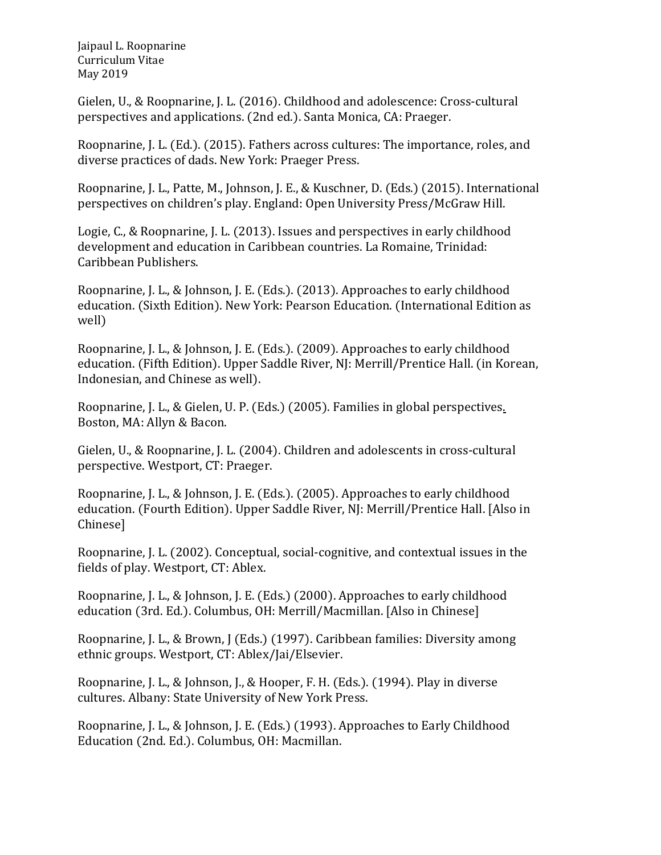Gielen, U., & Roopnarine, J. L. (2016). Childhood and adolescence: Cross-cultural perspectives and applications. (2nd ed.). Santa Monica, CA: Praeger.

Roopnarine, J. L. (Ed.). (2015). Fathers across cultures: The importance, roles, and diverse practices of dads. New York: Praeger Press.

Roopnarine, J. L., Patte, M., Johnson, J. E., & Kuschner, D. (Eds.) (2015). International perspectives on children's play. England: Open University Press/McGraw Hill.

Logie, C., & Roopnarine, J. L. (2013). Issues and perspectives in early childhood development and education in Caribbean countries. La Romaine, Trinidad: Caribbean Publishers.

Roopnarine, J. L., & Johnson, J. E. (Eds.). (2013). Approaches to early childhood education. (Sixth Edition). New York: Pearson Education. (International Edition as well)

Roopnarine, J. L., & Johnson, J. E. (Eds.). (2009). Approaches to early childhood education. (Fifth Edition). Upper Saddle River, NJ: Merrill/Prentice Hall. (in Korean, Indonesian, and Chinese as well).

Roopnarine, J. L., & Gielen, U. P. (Eds.) (2005). Families in global perspectives. Boston, MA: Allyn & Bacon.

Gielen, U., & Roopnarine, J. L. (2004). Children and adolescents in cross-cultural perspective. Westport, CT: Praeger.

Roopnarine, J. L., & Johnson, J. E. (Eds.). (2005). Approaches to early childhood education. (Fourth Edition). Upper Saddle River, NJ: Merrill/Prentice Hall. [Also in Chinese]

Roopnarine, J. L. (2002). Conceptual, social-cognitive, and contextual issues in the fields of play. Westport, CT: Ablex.

Roopnarine, J. L., & Johnson, J. E. (Eds.) (2000). Approaches to early childhood education (3rd. Ed.). Columbus, OH: Merrill/Macmillan. [Also in Chinese]

Roopnarine, J. L., & Brown, J (Eds.) (1997). Caribbean families: Diversity among ethnic groups. Westport, CT: Ablex/Jai/Elsevier.

Roopnarine, J. L., & Johnson, J., & Hooper, F. H. (Eds.). (1994). Play in diverse cultures. Albany: State University of New York Press.

Roopnarine, J. L., & Johnson, J. E. (Eds.) (1993). Approaches to Early Childhood Education (2nd. Ed.). Columbus, OH: Macmillan.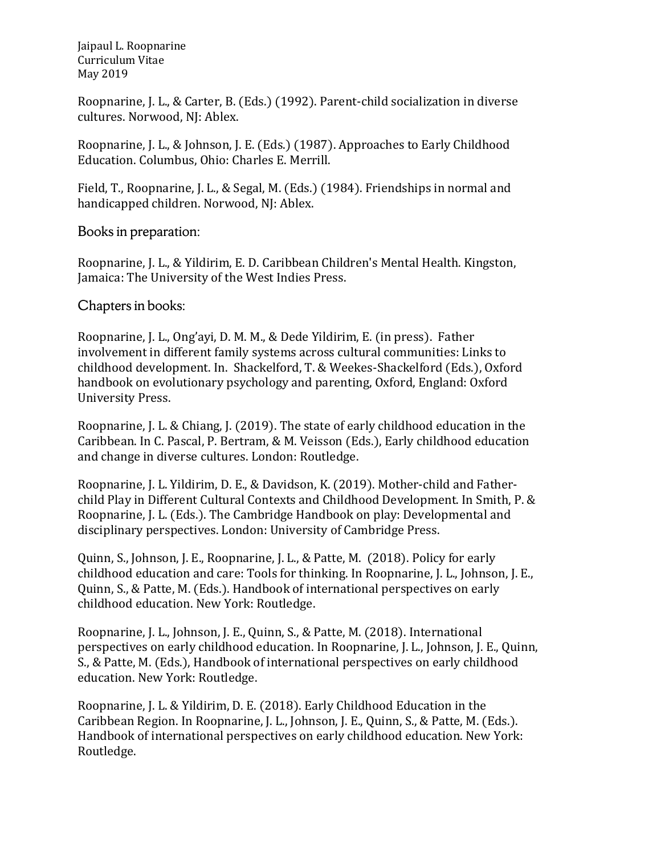Roopnarine, J. L., & Carter, B. (Eds.) (1992). Parent-child socialization in diverse cultures. Norwood, NJ: Ablex.

Roopnarine, J. L., & Johnson, J. E. (Eds.) (1987). Approaches to Early Childhood Education. Columbus, Ohio: Charles E. Merrill.

Field, T., Roopnarine, J. L., & Segal, M. (Eds.) (1984). Friendships in normal and handicapped children. Norwood, NJ: Ablex.

Books in preparation:

Roopnarine, J. L., & Yildirim, E. D. Caribbean Children's Mental Health. Kingston, Jamaica: The University of the West Indies Press.

Chapters in books:

Roopnarine, J. L., Ong'ayi, D. M. M., & Dede Yildirim, E. (in press). Father involvement in different family systems across cultural communities: Links to childhood development. In. Shackelford, T. & Weekes-Shackelford (Eds.), Oxford handbook on evolutionary psychology and parenting, Oxford, England: Oxford University Press.

Roopnarine, J. L. & Chiang, J. (2019). The state of early childhood education in the Caribbean. In C. Pascal, P. Bertram, & M. Veisson (Eds.), Early childhood education and change in diverse cultures. London: Routledge.

Roopnarine, J. L. Yildirim, D. E., & Davidson, K. (2019). Mother-child and Fatherchild Play in Different Cultural Contexts and Childhood Development. In Smith, P. & Roopnarine, J. L. (Eds.). The Cambridge Handbook on play: Developmental and disciplinary perspectives. London: University of Cambridge Press.

Quinn, S., Johnson, J. E., Roopnarine, J. L., & Patte, M. (2018). Policy for early childhood education and care: Tools for thinking. In Roopnarine, J. L., Johnson, J. E., Quinn, S., & Patte, M. (Eds.). Handbook of international perspectives on early childhood education. New York: Routledge.

Roopnarine, J. L., Johnson, J. E., Quinn, S., & Patte, M. (2018). International perspectives on early childhood education. In Roopnarine, J. L., Johnson, J. E., Quinn, S., & Patte, M. (Eds.), Handbook of international perspectives on early childhood education. New York: Routledge.

Roopnarine, J. L. & Yildirim, D. E. (2018). Early Childhood Education in the Caribbean Region. In Roopnarine, J. L., Johnson, J. E., Quinn, S., & Patte, M. (Eds.). Handbook of international perspectives on early childhood education. New York: Routledge.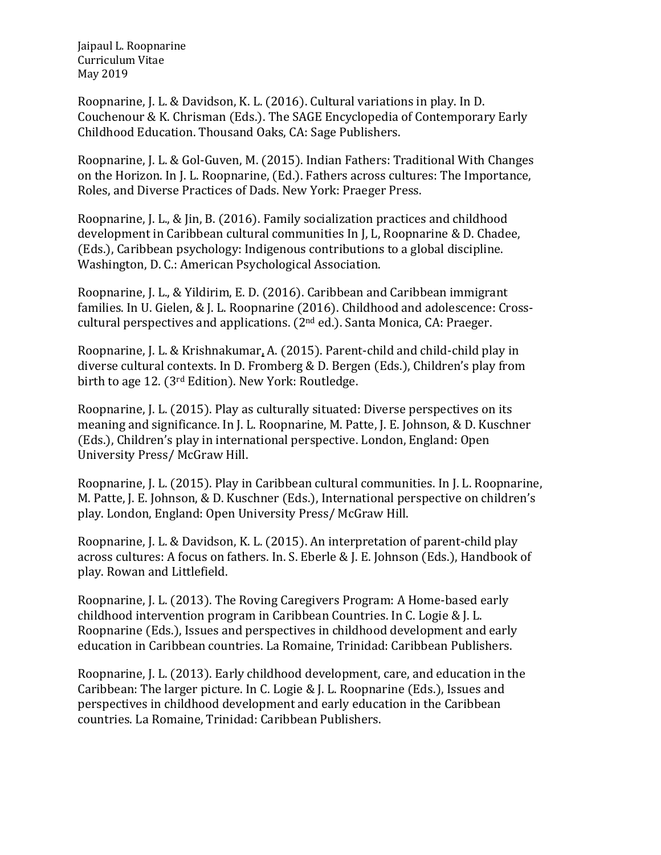Roopnarine, J. L. & Davidson, K. L. (2016). Cultural variations in play. In D. Couchenour & K. Chrisman (Eds.). The SAGE Encyclopedia of Contemporary Early Childhood Education. Thousand Oaks, CA: Sage Publishers.

Roopnarine, J. L. & Gol-Guven, M. (2015). Indian Fathers: Traditional With Changes on the Horizon. In J. L. Roopnarine, (Ed.). Fathers across cultures: The Importance, Roles, and Diverse Practices of Dads. New York: Praeger Press.

Roopnarine, J. L., & Jin, B. (2016). Family socialization practices and childhood development in Caribbean cultural communities In J, L, Roopnarine & D. Chadee, (Eds.), Caribbean psychology: Indigenous contributions to a global discipline. Washington, D. C.: American Psychological Association.

Roopnarine, J. L., & Yildirim, E. D. (2016). Caribbean and Caribbean immigrant families. In U. Gielen, & J. L. Roopnarine (2016). Childhood and adolescence: Crosscultural perspectives and applications. (2nd ed.). Santa Monica, CA: Praeger.

Roopnarine, J. L. & Krishnakumar, A. (2015). Parent-child and child-child play in diverse cultural contexts. In D. Fromberg & D. Bergen (Eds.), Children's play from birth to age 12. (3rd Edition). New York: Routledge.

Roopnarine, J. L. (2015). Play as culturally situated: Diverse perspectives on its meaning and significance. In J. L. Roopnarine, M. Patte, J. E. Johnson, & D. Kuschner (Eds.), Children's play in international perspective. London, England: Open University Press/ McGraw Hill.

Roopnarine, J. L. (2015). Play in Caribbean cultural communities. In J. L. Roopnarine, M. Patte, J. E. Johnson, & D. Kuschner (Eds.), International perspective on children's play. London, England: Open University Press/ McGraw Hill.

Roopnarine, J. L. & Davidson, K. L. (2015). An interpretation of parent-child play across cultures: A focus on fathers. In. S. Eberle & J. E. Johnson (Eds.), Handbook of play. Rowan and Littlefield.

Roopnarine, J. L. (2013). The Roving Caregivers Program: A Home-based early childhood intervention program in Caribbean Countries. In C. Logie & J. L. Roopnarine (Eds.), Issues and perspectives in childhood development and early education in Caribbean countries. La Romaine, Trinidad: Caribbean Publishers.

Roopnarine, J. L. (2013). Early childhood development, care, and education in the Caribbean: The larger picture. In C. Logie & J. L. Roopnarine (Eds.), Issues and perspectives in childhood development and early education in the Caribbean countries. La Romaine, Trinidad: Caribbean Publishers.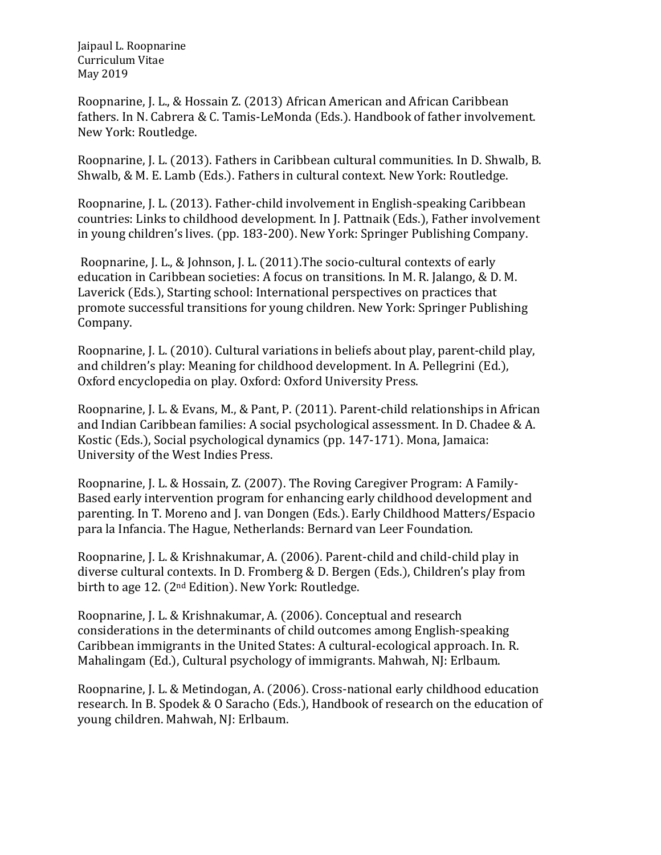Roopnarine, J. L., & Hossain Z. (2013) African American and African Caribbean fathers. In N. Cabrera & C. Tamis-LeMonda (Eds.). Handbook of father involvement. New York: Routledge.

Roopnarine, J. L. (2013). Fathers in Caribbean cultural communities. In D. Shwalb, B. Shwalb, & M. E. Lamb (Eds.). Fathers in cultural context. New York: Routledge.

Roopnarine, J. L. (2013). Father-child involvement in English-speaking Caribbean countries: Links to childhood development. In J. Pattnaik (Eds.), Father involvement in young children's lives. (pp. 183-200). New York: Springer Publishing Company.

Roopnarine, J. L., & Johnson, J. L. (2011).The socio-cultural contexts of early education in Caribbean societies: A focus on transitions. In M. R. Jalango, & D. M. Laverick (Eds.), Starting school: International perspectives on practices that promote successful transitions for young children. New York: Springer Publishing Company.

Roopnarine, J. L. (2010). Cultural variations in beliefs about play, parent-child play, and children's play: Meaning for childhood development. In A. Pellegrini (Ed.), Oxford encyclopedia on play. Oxford: Oxford University Press.

Roopnarine, J. L. & Evans, M., & Pant, P. (2011). Parent-child relationships in African and Indian Caribbean families: A social psychological assessment. In D. Chadee & A. Kostic (Eds.), Social psychological dynamics (pp. 147-171). Mona, Jamaica: University of the West Indies Press.

Roopnarine, J. L. & Hossain, Z. (2007). The Roving Caregiver Program: A Family-Based early intervention program for enhancing early childhood development and parenting. In T. Moreno and J. van Dongen (Eds.). Early Childhood Matters/Espacio para la Infancia. The Hague, Netherlands: Bernard van Leer Foundation.

Roopnarine, J. L. & Krishnakumar, A. (2006). Parent-child and child-child play in diverse cultural contexts. In D. Fromberg & D. Bergen (Eds.), Children's play from birth to age 12. (2nd Edition). New York: Routledge.

Roopnarine, J. L. & Krishnakumar, A. (2006). Conceptual and research considerations in the determinants of child outcomes among English-speaking Caribbean immigrants in the United States: A cultural-ecological approach. In. R. Mahalingam (Ed.), Cultural psychology of immigrants. Mahwah, NJ: Erlbaum.

Roopnarine, J. L. & Metindogan, A. (2006). Cross-national early childhood education research. In B. Spodek & O Saracho (Eds.), Handbook of research on the education of young children. Mahwah, NJ: Erlbaum.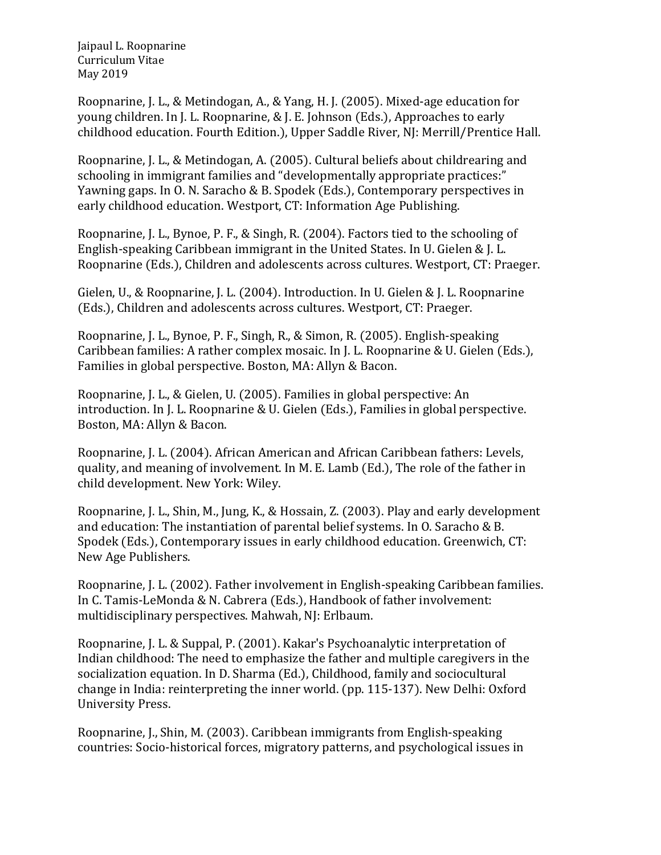Roopnarine, J. L., & Metindogan, A., & Yang, H. J. (2005). Mixed-age education for young children. In J. L. Roopnarine, & J. E. Johnson (Eds.), Approaches to early childhood education. Fourth Edition.), Upper Saddle River, NJ: Merrill/Prentice Hall.

Roopnarine, J. L., & Metindogan, A. (2005). Cultural beliefs about childrearing and schooling in immigrant families and "developmentally appropriate practices:" Yawning gaps. In O. N. Saracho & B. Spodek (Eds.), Contemporary perspectives in early childhood education. Westport, CT: Information Age Publishing.

Roopnarine, J. L., Bynoe, P. F., & Singh, R. (2004). Factors tied to the schooling of English-speaking Caribbean immigrant in the United States. In U. Gielen & J. L. Roopnarine (Eds.), Children and adolescents across cultures. Westport, CT: Praeger.

Gielen, U., & Roopnarine, J. L. (2004). Introduction. In U. Gielen & J. L. Roopnarine (Eds.), Children and adolescents across cultures. Westport, CT: Praeger.

Roopnarine, J. L., Bynoe, P. F., Singh, R., & Simon, R. (2005). English-speaking Caribbean families: A rather complex mosaic. In J. L. Roopnarine & U. Gielen (Eds.), Families in global perspective. Boston, MA: Allyn & Bacon.

Roopnarine, J. L., & Gielen, U. (2005). Families in global perspective: An introduction. In J. L. Roopnarine & U. Gielen (Eds.), Families in global perspective. Boston, MA: Allyn & Bacon.

Roopnarine, J. L. (2004). African American and African Caribbean fathers: Levels, quality, and meaning of involvement. In M. E. Lamb (Ed.), The role of the father in child development. New York: Wiley.

Roopnarine, J. L., Shin, M., Jung, K., & Hossain, Z. (2003). Play and early development and education: The instantiation of parental belief systems. In O. Saracho & B. Spodek (Eds.), Contemporary issues in early childhood education. Greenwich, CT: New Age Publishers.

Roopnarine, J. L. (2002). Father involvement in English-speaking Caribbean families. In C. Tamis-LeMonda & N. Cabrera (Eds.), Handbook of father involvement: multidisciplinary perspectives. Mahwah, NJ: Erlbaum.

Roopnarine, J. L. & Suppal, P. (2001). Kakar's Psychoanalytic interpretation of Indian childhood: The need to emphasize the father and multiple caregivers in the socialization equation. In D. Sharma (Ed.), Childhood, family and sociocultural change in India: reinterpreting the inner world. (pp. 115-137). New Delhi: Oxford University Press.

Roopnarine, J., Shin, M. (2003). Caribbean immigrants from English-speaking countries: Socio-historical forces, migratory patterns, and psychological issues in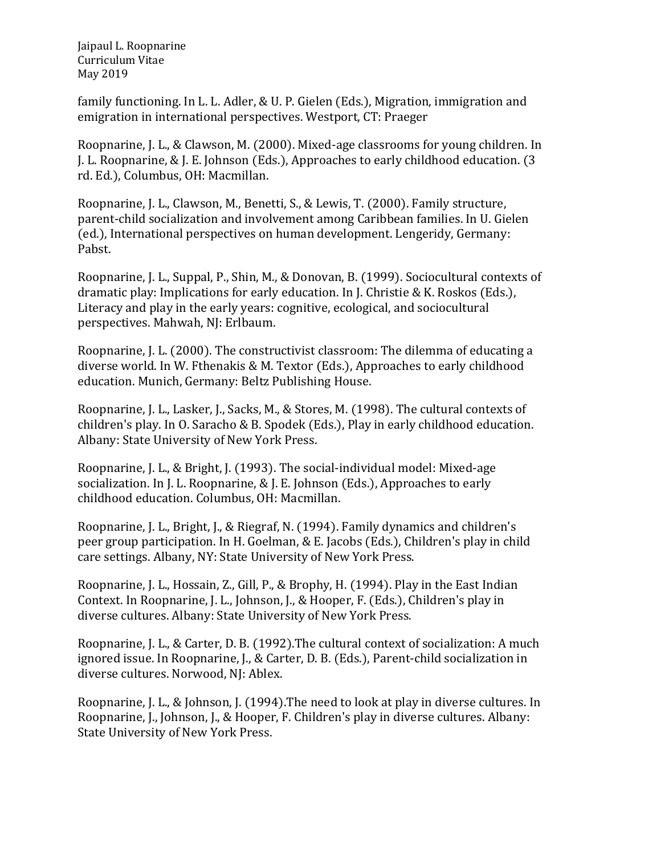family functioning. In L. L. Adler, & U. P. Gielen (Eds.), Migration, immigration and emigration in international perspectives. Westport, CT: Praeger

Roopnarine, J. L., & Clawson, M. (2000). Mixed-age classrooms for young children. In J. L. Roopnarine, & J. E. Johnson (Eds.), Approaches to early childhood education. (3 rd. Ed.), Columbus, OH: Macmillan.

Roopnarine, J. L., Clawson, M., Benetti, S., & Lewis, T. (2000). Family structure, parent-child socialization and involvement among Caribbean families. In U. Gielen (ed.), International perspectives on human development. Lengeridy, Germany: Pabst.

Roopnarine, J. L., Suppal, P., Shin, M., & Donovan, B. (1999). Sociocultural contexts of dramatic play: Implications for early education. In J. Christie & K. Roskos (Eds.), Literacy and play in the early years: cognitive, ecological, and sociocultural perspectives. Mahwah, NJ: Erlbaum.

Roopnarine, J. L. (2000). The constructivist classroom: The dilemma of educating a diverse world. In W. Fthenakis & M. Textor (Eds.), Approaches to early childhood education. Munich, Germany: Beltz Publishing House.

Roopnarine, J. L., Lasker, J., Sacks, M., & Stores, M. (1998). The cultural contexts of children's play. In O. Saracho & B. Spodek (Eds.), Play in early childhood education. Albany: State University of New York Press.

Roopnarine, J. L., & Bright, J. (1993). The social-individual model: Mixed-age socialization. In J. L. Roopnarine, & J. E. Johnson (Eds.), Approaches to early childhood education. Columbus, OH: Macmillan.

Roopnarine, J. L., Bright, J., & Riegraf, N. (1994). Family dynamics and children's peer group participation. In H. Goelman, & E. Jacobs (Eds.), Children's play in child care settings. Albany, NY: State University of New York Press.

Roopnarine, J. L., Hossain, Z., Gill, P., & Brophy, H. (1994). Play in the East Indian Context. In Roopnarine, J. L., Johnson, J., & Hooper, F. (Eds.), Children's play in diverse cultures. Albany: State University of New York Press.

Roopnarine, J. L., & Carter, D. B. (1992).The cultural context of socialization: A much ignored issue. In Roopnarine, J., & Carter, D. B. (Eds.), Parent-child socialization in diverse cultures. Norwood, NJ: Ablex.

Roopnarine, J. L., & Johnson, J. (1994).The need to look at play in diverse cultures. In Roopnarine, J., Johnson, J., & Hooper, F. Children's play in diverse cultures. Albany: State University of New York Press.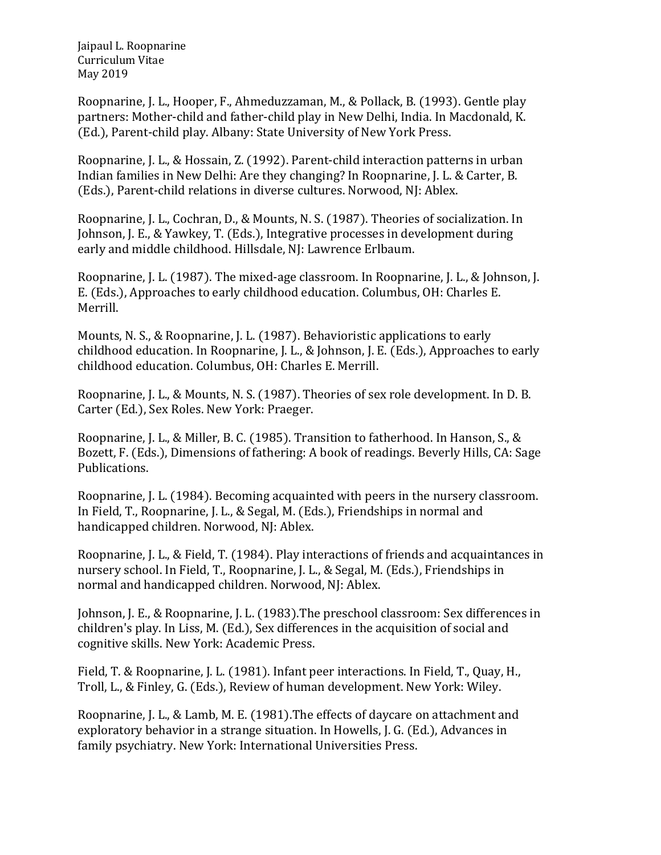Roopnarine, J. L., Hooper, F., Ahmeduzzaman, M., & Pollack, B. (1993). Gentle play partners: Mother-child and father-child play in New Delhi, India. In Macdonald, K. (Ed.), Parent-child play. Albany: State University of New York Press.

Roopnarine, J. L., & Hossain, Z. (1992). Parent-child interaction patterns in urban Indian families in New Delhi: Are they changing? In Roopnarine, J. L. & Carter, B. (Eds.), Parent-child relations in diverse cultures. Norwood, NJ: Ablex.

Roopnarine, J. L., Cochran, D., & Mounts, N. S. (1987). Theories of socialization. In Johnson, J. E., & Yawkey, T. (Eds.), Integrative processes in development during early and middle childhood. Hillsdale, NJ: Lawrence Erlbaum.

Roopnarine, J. L. (1987). The mixed-age classroom. In Roopnarine, J. L., & Johnson, J. E. (Eds.), Approaches to early childhood education. Columbus, OH: Charles E. Merrill.

Mounts, N. S., & Roopnarine, J. L. (1987). Behavioristic applications to early childhood education. In Roopnarine, J. L., & Johnson, J. E. (Eds.), Approaches to early childhood education. Columbus, OH: Charles E. Merrill.

Roopnarine, J. L., & Mounts, N. S. (1987). Theories of sex role development. In D. B. Carter (Ed.), Sex Roles. New York: Praeger.

Roopnarine, J. L., & Miller, B. C. (1985). Transition to fatherhood. In Hanson, S., & Bozett, F. (Eds.), Dimensions of fathering: A book of readings. Beverly Hills, CA: Sage Publications.

Roopnarine, J. L. (1984). Becoming acquainted with peers in the nursery classroom. In Field, T., Roopnarine, J. L., & Segal, M. (Eds.), Friendships in normal and handicapped children. Norwood, NJ: Ablex.

Roopnarine, J. L., & Field, T. (1984). Play interactions of friends and acquaintances in nursery school. In Field, T., Roopnarine, J. L., & Segal, M. (Eds.), Friendships in normal and handicapped children. Norwood, NJ: Ablex.

Johnson, J. E., & Roopnarine, J. L. (1983).The preschool classroom: Sex differences in children's play. In Liss, M. (Ed.), Sex differences in the acquisition of social and cognitive skills. New York: Academic Press.

Field, T. & Roopnarine, J. L. (1981). Infant peer interactions. In Field, T., Quay, H., Troll, L., & Finley, G. (Eds.), Review of human development. New York: Wiley.

Roopnarine, J. L., & Lamb, M. E. (1981).The effects of daycare on attachment and exploratory behavior in a strange situation. In Howells, J. G. (Ed.), Advances in family psychiatry. New York: International Universities Press.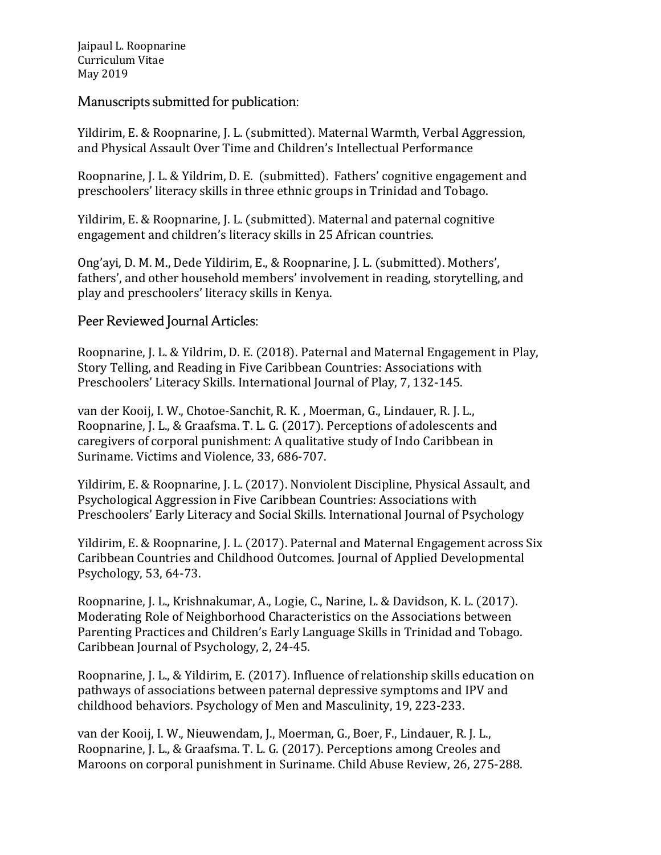Manuscripts submitted for publication:

Yildirim, E. & Roopnarine, J. L. (submitted). Maternal Warmth, Verbal Aggression, and Physical Assault Over Time and Children's Intellectual Performance

Roopnarine, J. L. & Yildrim, D. E. (submitted). Fathers' cognitive engagement and preschoolers' literacy skills in three ethnic groups in Trinidad and Tobago.

Yildirim, E. & Roopnarine, J. L. (submitted). Maternal and paternal cognitive engagement and children's literacy skills in 25 African countries.

Ong'ayi, D. M. M., Dede Yildirim, E., & Roopnarine, J. L. (submitted). Mothers', fathers', and other household members' involvement in reading, storytelling, and play and preschoolers' literacy skills in Kenya.

Peer Reviewed Journal Articles:

Roopnarine, J. L. & Yildrim, D. E. (2018). Paternal and Maternal Engagement in Play, Story Telling, and Reading in Five Caribbean Countries: Associations with Preschoolers' Literacy Skills. International Journal of Play, 7, 132-145.

van der Kooij, I. W., Chotoe-Sanchit, R. K. , Moerman, G., Lindauer, R. J. L., Roopnarine, J. L., & Graafsma. T. L. G. (2017). Perceptions of adolescents and caregivers of corporal punishment: A qualitative study of Indo Caribbean in Suriname. Victims and Violence, 33, 686-707.

Yildirim, E. & Roopnarine, J. L. (2017). Nonviolent Discipline, Physical Assault, and Psychological Aggression in Five Caribbean Countries: Associations with Preschoolers' Early Literacy and Social Skills. International Journal of Psychology

Yildirim, E. & Roopnarine, J. L. (2017). Paternal and Maternal Engagement across Six Caribbean Countries and Childhood Outcomes. Journal of Applied Developmental Psychology, 53, 64-73.

Roopnarine, J. L., Krishnakumar, A., Logie, C., Narine, L. & Davidson, K. L. (2017). Moderating Role of Neighborhood Characteristics on the Associations between Parenting Practices and Children's Early Language Skills in Trinidad and Tobago. Caribbean Journal of Psychology, 2, 24-45.

Roopnarine, J. L., & Yildirim, E. (2017). Influence of relationship skills education on pathways of associations between paternal depressive symptoms and IPV and childhood behaviors. Psychology of Men and Masculinity, 19, 223-233.

van der Kooij, I. W., Nieuwendam, J., Moerman, G., Boer, F., Lindauer, R. J. L., Roopnarine, J. L., & Graafsma. T. L. G. (2017). Perceptions among Creoles and Maroons on corporal punishment in Suriname. Child Abuse Review, 26, 275-288.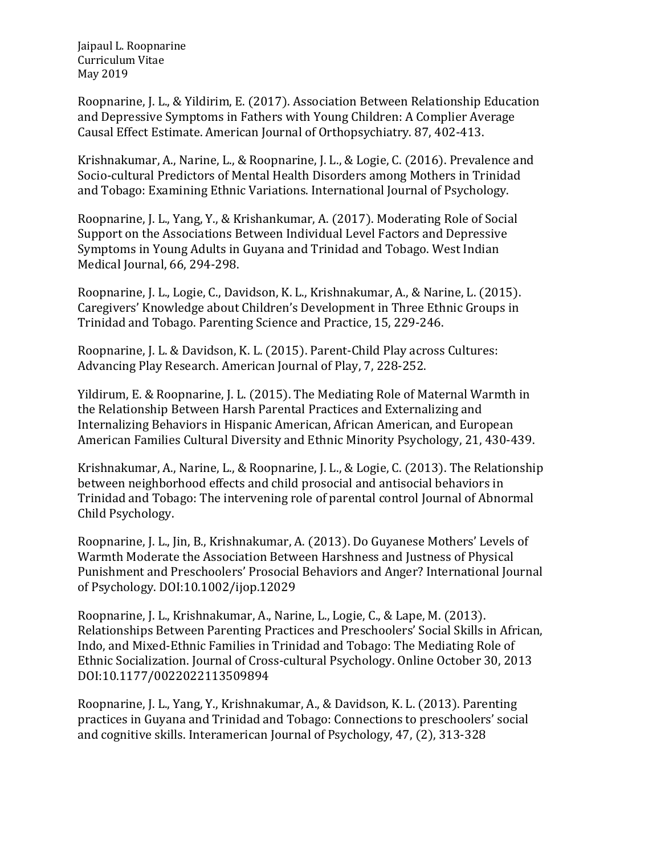Roopnarine, J. L., & Yildirim, E. (2017). Association Between Relationship Education and Depressive Symptoms in Fathers with Young Children: A Complier Average Causal Effect Estimate. American Journal of Orthopsychiatry. 87, 402-413.

Krishnakumar, A., Narine, L., & Roopnarine, J. L., & Logie, C. (2016). Prevalence and Socio-cultural Predictors of Mental Health Disorders among Mothers in Trinidad and Tobago: Examining Ethnic Variations. International Journal of Psychology.

Roopnarine, J. L., Yang, Y., & Krishankumar, A. (2017). Moderating Role of Social Support on the Associations Between Individual Level Factors and Depressive Symptoms in Young Adults in Guyana and Trinidad and Tobago. West Indian Medical Journal, 66, 294-298.

Roopnarine, J. L., Logie, C., Davidson, K. L., Krishnakumar, A., & Narine, L. (2015). Caregivers' Knowledge about Children's Development in Three Ethnic Groups in Trinidad and Tobago. Parenting Science and Practice, 15, 229-246.

Roopnarine, J. L. & Davidson, K. L. (2015). Parent-Child Play across Cultures: Advancing Play Research. American Journal of Play, 7, 228-252.

Yildirum, E. & Roopnarine, J. L. (2015). The Mediating Role of Maternal Warmth in the Relationship Between Harsh Parental Practices and Externalizing and Internalizing Behaviors in Hispanic American, African American, and European American Families Cultural Diversity and Ethnic Minority Psychology, 21, 430-439.

Krishnakumar, A., Narine, L., & Roopnarine, J. L., & Logie, C. (2013). The Relationship between neighborhood effects and child prosocial and antisocial behaviors in Trinidad and Tobago: The intervening role of parental control Journal of Abnormal Child Psychology.

Roopnarine, J. L., Jin, B., Krishnakumar, A. (2013). Do Guyanese Mothers' Levels of Warmth Moderate the Association Between Harshness and Justness of Physical Punishment and Preschoolers' Prosocial Behaviors and Anger? International Journal of Psychology. DOI:10.1002/ijop.12029

Roopnarine, J. L., Krishnakumar, A., Narine, L., Logie, C., & Lape, M. (2013). Relationships Between Parenting Practices and Preschoolers' Social Skills in African, Indo, and Mixed-Ethnic Families in Trinidad and Tobago: The Mediating Role of Ethnic Socialization. Journal of Cross-cultural Psychology. Online October 30, 2013 DOI:10.1177/0022022113509894

Roopnarine, J. L., Yang, Y., Krishnakumar, A., & Davidson, K. L. (2013). Parenting practices in Guyana and Trinidad and Tobago: Connections to preschoolers' social and cognitive skills. Interamerican Journal of Psychology, 47, (2), 313-328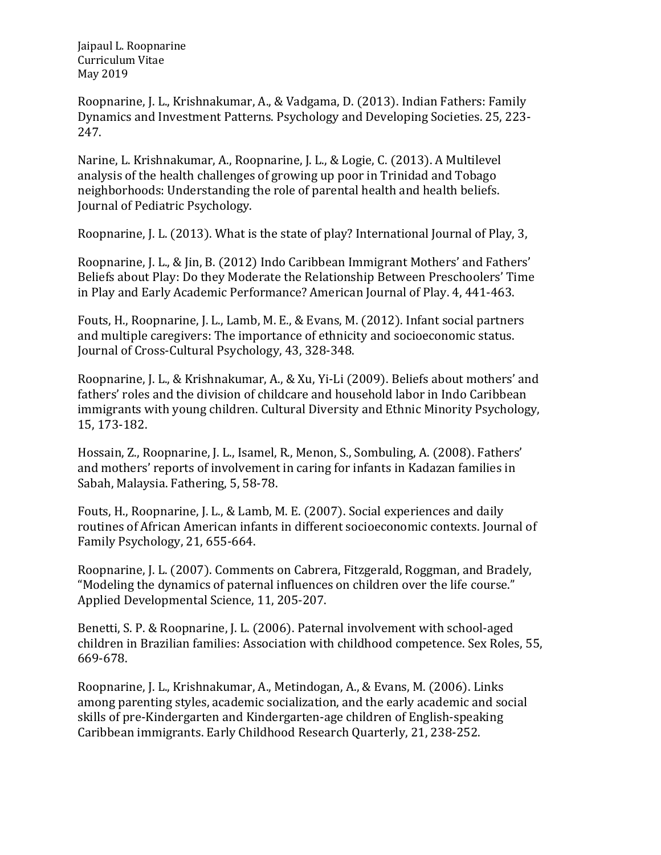Roopnarine, J. L., Krishnakumar, A., & Vadgama, D. (2013). Indian Fathers: Family Dynamics and Investment Patterns. Psychology and Developing Societies. 25, 223- 247.

Narine, L. Krishnakumar, A., Roopnarine, J. L., & Logie, C. (2013). A Multilevel analysis of the health challenges of growing up poor in Trinidad and Tobago neighborhoods: Understanding the role of parental health and health beliefs. Journal of Pediatric Psychology.

Roopnarine, J. L. (2013). What is the state of play? International Journal of Play, 3,

Roopnarine, J. L., & Jin, B. (2012) Indo Caribbean Immigrant Mothers' and Fathers' Beliefs about Play: Do they Moderate the Relationship Between Preschoolers' Time in Play and Early Academic Performance? American Journal of Play. 4, 441-463.

Fouts, H., Roopnarine, J. L., Lamb, M. E., & Evans, M. (2012). Infant social partners and multiple caregivers: The importance of ethnicity and socioeconomic status. Journal of Cross-Cultural Psychology, 43, 328-348.

Roopnarine, J. L., & Krishnakumar, A., & Xu, Yi-Li (2009). Beliefs about mothers' and fathers' roles and the division of childcare and household labor in Indo Caribbean immigrants with young children. Cultural Diversity and Ethnic Minority Psychology, 15, 173-182.

Hossain, Z., Roopnarine, J. L., Isamel, R., Menon, S., Sombuling, A. (2008). Fathers' and mothers' reports of involvement in caring for infants in Kadazan families in Sabah, Malaysia. Fathering, 5, 58-78.

Fouts, H., Roopnarine, J. L., & Lamb, M. E. (2007). Social experiences and daily routines of African American infants in different socioeconomic contexts. Journal of Family Psychology, 21, 655-664.

Roopnarine, J. L. (2007). Comments on Cabrera, Fitzgerald, Roggman, and Bradely, "Modeling the dynamics of paternal influences on children over the life course." Applied Developmental Science, 11, 205-207.

Benetti, S. P. & Roopnarine, J. L. (2006). Paternal involvement with school-aged children in Brazilian families: Association with childhood competence. Sex Roles, 55, 669-678.

Roopnarine, J. L., Krishnakumar, A., Metindogan, A., & Evans, M. (2006). Links among parenting styles, academic socialization, and the early academic and social skills of pre-Kindergarten and Kindergarten-age children of English-speaking Caribbean immigrants. Early Childhood Research Quarterly, 21, 238-252.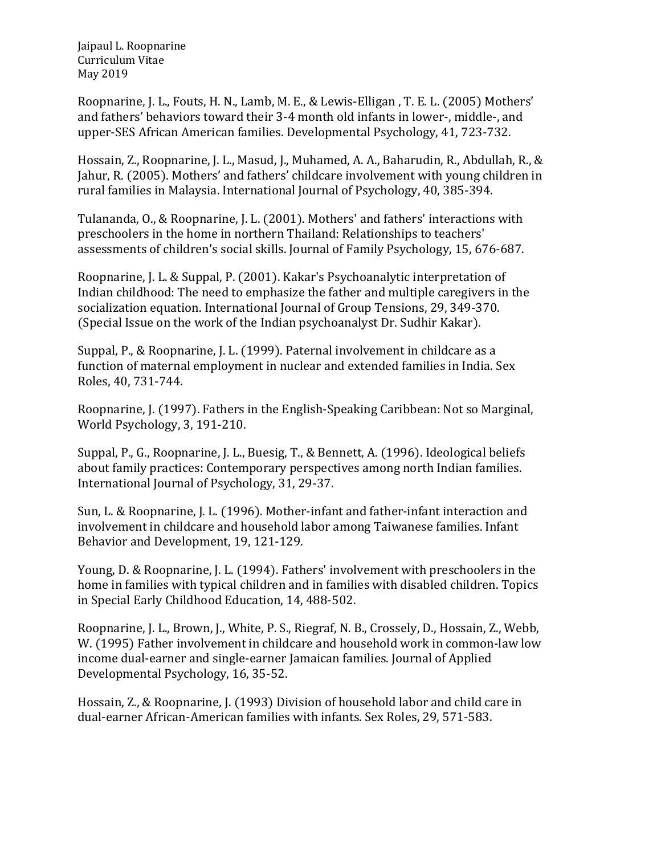Roopnarine, J. L., Fouts, H. N., Lamb, M. E., & Lewis-Elligan , T. E. L. (2005) Mothers' and fathers' behaviors toward their 3-4 month old infants in lower-, middle-, and upper-SES African American families. Developmental Psychology, 41, 723-732.

Hossain, Z., Roopnarine, J. L., Masud, J., Muhamed, A. A., Baharudin, R., Abdullah, R., & Jahur, R. (2005). Mothers' and fathers' childcare involvement with young children in rural families in Malaysia. International Journal of Psychology, 40, 385-394.

Tulananda, O., & Roopnarine, J. L. (2001). Mothers' and fathers' interactions with preschoolers in the home in northern Thailand: Relationships to teachers' assessments of children's social skills. Journal of Family Psychology, 15, 676-687.

Roopnarine, J. L. & Suppal, P. (2001). Kakar's Psychoanalytic interpretation of Indian childhood: The need to emphasize the father and multiple caregivers in the socialization equation. International Journal of Group Tensions, 29, 349-370. (Special Issue on the work of the Indian psychoanalyst Dr. Sudhir Kakar).

Suppal, P., & Roopnarine, J. L. (1999). Paternal involvement in childcare as a function of maternal employment in nuclear and extended families in India. Sex Roles, 40, 731-744.

Roopnarine, J. (1997). Fathers in the English-Speaking Caribbean: Not so Marginal, World Psychology, 3, 191-210.

Suppal, P., G., Roopnarine, J. L., Buesig, T., & Bennett, A. (1996). Ideological beliefs about family practices: Contemporary perspectives among north Indian families. International Journal of Psychology, 31, 29-37.

Sun, L. & Roopnarine, J. L. (1996). Mother-infant and father-infant interaction and involvement in childcare and household labor among Taiwanese families. Infant Behavior and Development, 19, 121-129.

Young, D. & Roopnarine, J. L. (1994). Fathers' involvement with preschoolers in the home in families with typical children and in families with disabled children. Topics in Special Early Childhood Education, 14, 488-502.

Roopnarine, J. L., Brown, J., White, P. S., Riegraf, N. B., Crossely, D., Hossain, Z., Webb, W. (1995) Father involvement in childcare and household work in common-law low income dual-earner and single-earner Jamaican families. Journal of Applied Developmental Psychology, 16, 35-52.

Hossain, Z., & Roopnarine, J. (1993) Division of household labor and child care in dual-earner African-American families with infants. Sex Roles, 29, 571-583.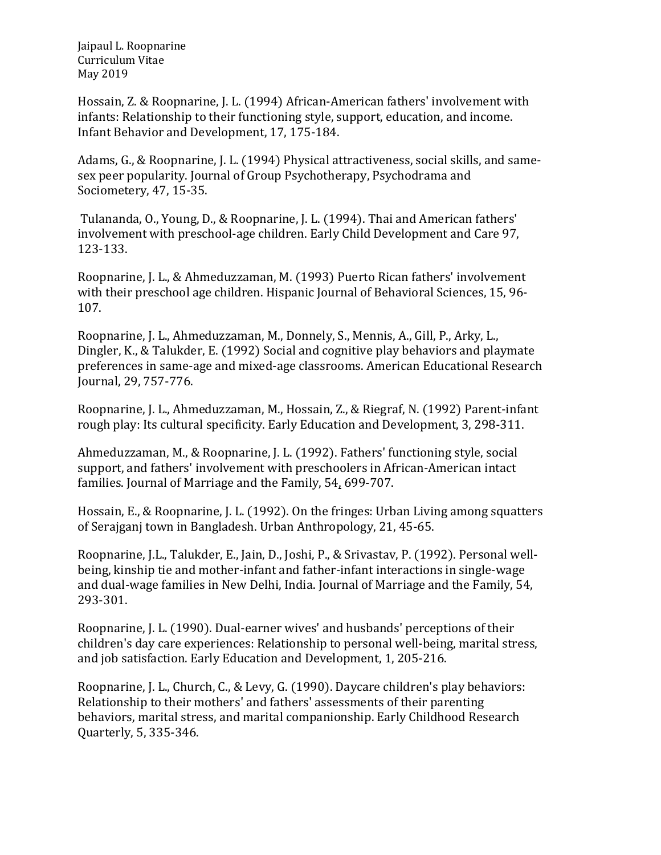Hossain, Z. & Roopnarine, J. L. (1994) African-American fathers' involvement with infants: Relationship to their functioning style, support, education, and income. Infant Behavior and Development, 17, 175-184.

Adams, G., & Roopnarine, J. L. (1994) Physical attractiveness, social skills, and samesex peer popularity. Journal of Group Psychotherapy, Psychodrama and Sociometery, 47, 15-35.

Tulananda, O., Young, D., & Roopnarine, J. L. (1994). Thai and American fathers' involvement with preschool-age children. Early Child Development and Care 97, 123-133.

Roopnarine, J. L., & Ahmeduzzaman, M. (1993) Puerto Rican fathers' involvement with their preschool age children. Hispanic Journal of Behavioral Sciences, 15, 96-107.

Roopnarine, J. L., Ahmeduzzaman, M., Donnely, S., Mennis, A., Gill, P., Arky, L., Dingler, K., & Talukder, E. (1992) Social and cognitive play behaviors and playmate preferences in same-age and mixed-age classrooms. American Educational Research Journal, 29, 757-776.

Roopnarine, J. L., Ahmeduzzaman, M., Hossain, Z., & Riegraf, N. (1992) Parent-infant rough play: Its cultural specificity. Early Education and Development, 3, 298-311.

Ahmeduzzaman, M., & Roopnarine, J. L. (1992). Fathers' functioning style, social support, and fathers' involvement with preschoolers in African-American intact families. Journal of Marriage and the Family, 54, 699-707.

Hossain, E., & Roopnarine, J. L. (1992). On the fringes: Urban Living among squatters of Serajganj town in Bangladesh. Urban Anthropology, 21, 45-65.

Roopnarine, J.L., Talukder, E., Jain, D., Joshi, P., & Srivastav, P. (1992). Personal wellbeing, kinship tie and mother-infant and father-infant interactions in single-wage and dual-wage families in New Delhi, India. Journal of Marriage and the Family, 54, 293-301.

Roopnarine, J. L. (1990). Dual-earner wives' and husbands' perceptions of their children's day care experiences: Relationship to personal well-being, marital stress, and job satisfaction. Early Education and Development, 1, 205-216.

Roopnarine, J. L., Church, C., & Levy, G. (1990). Daycare children's play behaviors: Relationship to their mothers' and fathers' assessments of their parenting behaviors, marital stress, and marital companionship. Early Childhood Research Quarterly, 5, 335-346.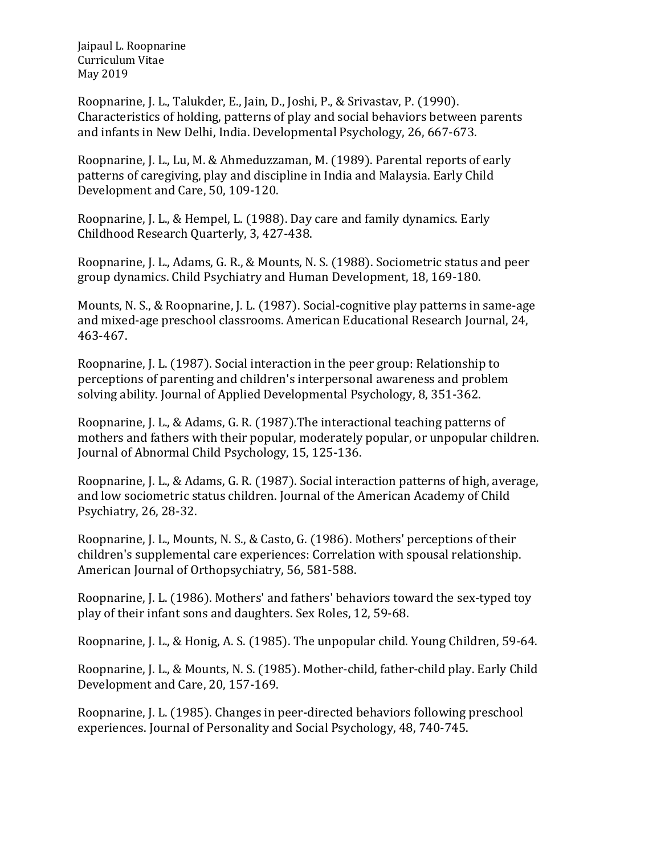Roopnarine, J. L., Talukder, E., Jain, D., Joshi, P., & Srivastav, P. (1990). Characteristics of holding, patterns of play and social behaviors between parents and infants in New Delhi, India. Developmental Psychology, 26, 667-673.

Roopnarine, J. L., Lu, M. & Ahmeduzzaman, M. (1989). Parental reports of early patterns of caregiving, play and discipline in India and Malaysia. Early Child Development and Care, 50, 109-120.

Roopnarine, J. L., & Hempel, L. (1988). Day care and family dynamics. Early Childhood Research Quarterly, 3, 427-438.

Roopnarine, J. L., Adams, G. R., & Mounts, N. S. (1988). Sociometric status and peer group dynamics. Child Psychiatry and Human Development, 18, 169-180.

Mounts, N. S., & Roopnarine, J. L. (1987). Social-cognitive play patterns in same-age and mixed-age preschool classrooms. American Educational Research Journal, 24, 463-467.

Roopnarine, J. L. (1987). Social interaction in the peer group: Relationship to perceptions of parenting and children's interpersonal awareness and problem solving ability. Journal of Applied Developmental Psychology, 8, 351-362.

Roopnarine, J. L., & Adams, G. R. (1987).The interactional teaching patterns of mothers and fathers with their popular, moderately popular, or unpopular children. Journal of Abnormal Child Psychology, 15, 125-136.

Roopnarine, J. L., & Adams, G. R. (1987). Social interaction patterns of high, average, and low sociometric status children. Journal of the American Academy of Child Psychiatry, 26, 28-32.

Roopnarine, J. L., Mounts, N. S., & Casto, G. (1986). Mothers' perceptions of their children's supplemental care experiences: Correlation with spousal relationship. American Journal of Orthopsychiatry, 56, 581-588.

Roopnarine, J. L. (1986). Mothers' and fathers' behaviors toward the sex-typed toy play of their infant sons and daughters. Sex Roles, 12, 59-68.

Roopnarine, J. L., & Honig, A. S. (1985). The unpopular child. Young Children, 59-64.

Roopnarine, J. L., & Mounts, N. S. (1985). Mother-child, father-child play. Early Child Development and Care, 20, 157-169.

Roopnarine, J. L. (1985). Changes in peer-directed behaviors following preschool experiences. Journal of Personality and Social Psychology, 48, 740-745.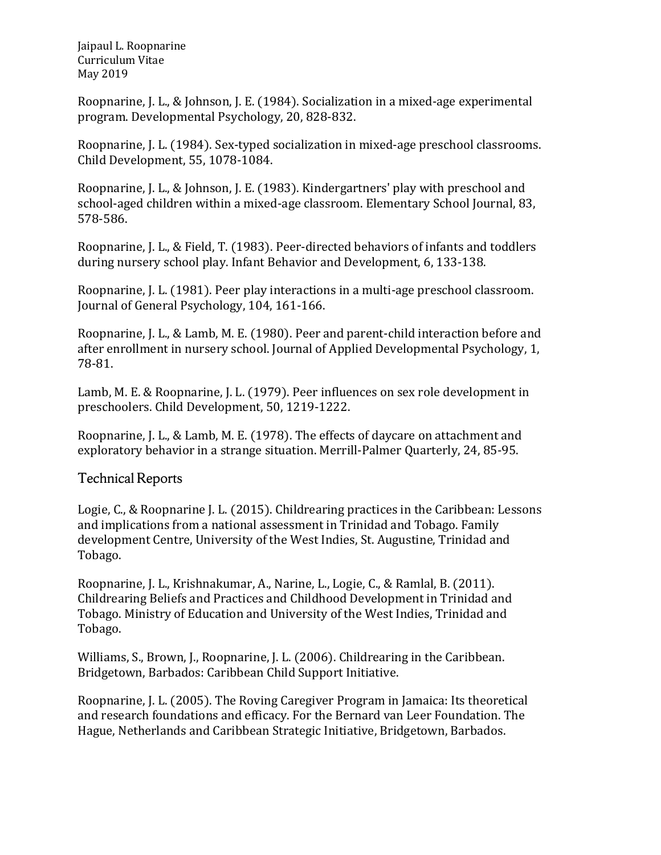Roopnarine, J. L., & Johnson, J. E. (1984). Socialization in a mixed-age experimental program. Developmental Psychology, 20, 828-832.

Roopnarine, J. L. (1984). Sex-typed socialization in mixed-age preschool classrooms. Child Development, 55, 1078-1084.

Roopnarine, J. L., & Johnson, J. E. (1983). Kindergartners' play with preschool and school-aged children within a mixed-age classroom. Elementary School Journal, 83, 578-586.

Roopnarine, J. L., & Field, T. (1983). Peer-directed behaviors of infants and toddlers during nursery school play. Infant Behavior and Development, 6, 133-138.

Roopnarine, J. L. (1981). Peer play interactions in a multi-age preschool classroom. Journal of General Psychology, 104, 161-166.

Roopnarine, J. L., & Lamb, M. E. (1980). Peer and parent-child interaction before and after enrollment in nursery school. Journal of Applied Developmental Psychology, 1, 78-81.

Lamb, M. E. & Roopnarine, J. L. (1979). Peer influences on sex role development in preschoolers. Child Development, 50, 1219-1222.

Roopnarine, J. L., & Lamb, M. E. (1978). The effects of daycare on attachment and exploratory behavior in a strange situation. Merrill-Palmer Quarterly, 24, 85-95.

#### Technical Reports

Logie, C., & Roopnarine J. L. (2015). Childrearing practices in the Caribbean: Lessons and implications from a national assessment in Trinidad and Tobago. Family development Centre, University of the West Indies, St. Augustine, Trinidad and Tobago.

Roopnarine, J. L., Krishnakumar, A., Narine, L., Logie, C., & Ramlal, B. (2011). Childrearing Beliefs and Practices and Childhood Development in Trinidad and Tobago. Ministry of Education and University of the West Indies, Trinidad and Tobago.

Williams, S., Brown, J., Roopnarine, J. L. (2006). Childrearing in the Caribbean. Bridgetown, Barbados: Caribbean Child Support Initiative.

Roopnarine, J. L. (2005). The Roving Caregiver Program in Jamaica: Its theoretical and research foundations and efficacy. For the Bernard van Leer Foundation. The Hague, Netherlands and Caribbean Strategic Initiative, Bridgetown, Barbados.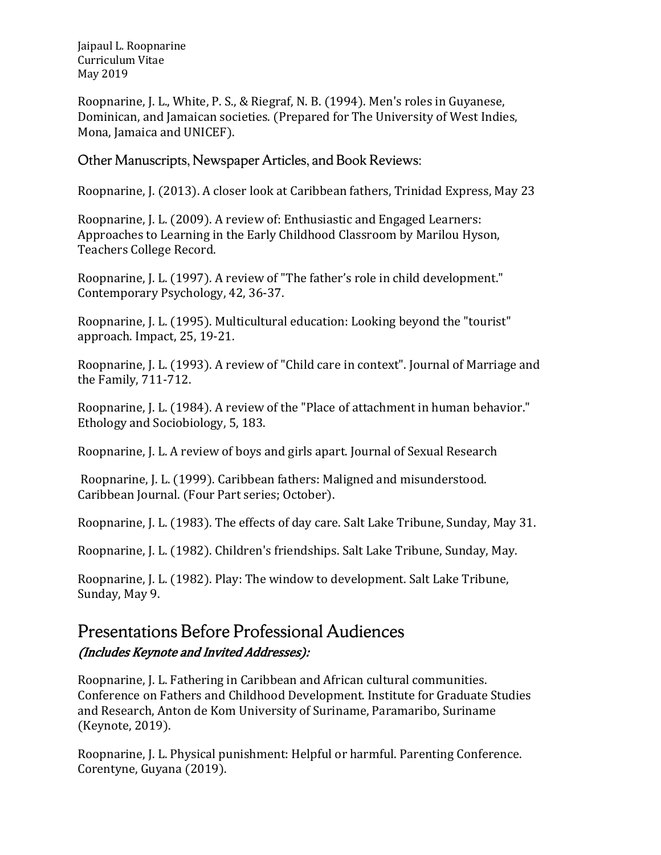Roopnarine, J. L., White, P. S., & Riegraf, N. B. (1994). Men's roles in Guyanese, Dominican, and Jamaican societies. (Prepared for The University of West Indies, Mona, Jamaica and UNICEF).

Other Manuscripts, Newspaper Articles, and Book Reviews:

Roopnarine, J. (2013). A closer look at Caribbean fathers, Trinidad Express, May 23

Roopnarine, J. L. (2009). A review of: Enthusiastic and Engaged Learners: Approaches to Learning in the Early Childhood Classroom by Marilou Hyson, Teachers College Record.

Roopnarine, J. L. (1997). A review of "The father's role in child development." Contemporary Psychology, 42, 36-37.

Roopnarine, J. L. (1995). Multicultural education: Looking beyond the "tourist" approach. Impact, 25, 19-21.

Roopnarine, J. L. (1993). A review of "Child care in context". Journal of Marriage and the Family, 711-712.

Roopnarine, J. L. (1984). A review of the "Place of attachment in human behavior." Ethology and Sociobiology, 5, 183.

Roopnarine, J. L. A review of boys and girls apart. Journal of Sexual Research

Roopnarine, J. L. (1999). Caribbean fathers: Maligned and misunderstood. Caribbean Journal. (Four Part series; October).

Roopnarine, J. L. (1983). The effects of day care. Salt Lake Tribune, Sunday, May 31.

Roopnarine, J. L. (1982). Children's friendships. Salt Lake Tribune, Sunday, May.

Roopnarine, J. L. (1982). Play: The window to development. Salt Lake Tribune, Sunday, May 9.

### Presentations Before Professional Audiences (Includes Keynote and Invited Addresses):

Roopnarine, J. L. Fathering in Caribbean and African cultural communities. Conference on Fathers and Childhood Development. Institute for Graduate Studies and Research, Anton de Kom University of Suriname, Paramaribo, Suriname (Keynote, 2019).

Roopnarine, J. L. Physical punishment: Helpful or harmful. Parenting Conference. Corentyne, Guyana (2019).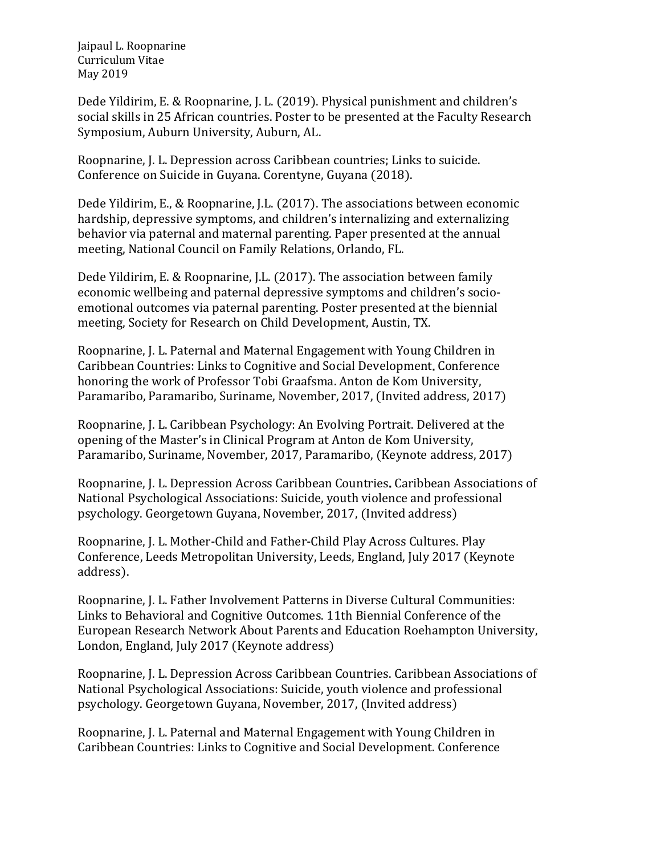Dede Yildirim, E. & Roopnarine, J. L. (2019). Physical punishment and children's social skills in 25 African countries. Poster to be presented at the Faculty Research Symposium, Auburn University, Auburn, AL.

Roopnarine, J. L. Depression across Caribbean countries; Links to suicide. Conference on Suicide in Guyana. Corentyne, Guyana (2018).

Dede Yildirim, E., & Roopnarine, J.L. (2017). The associations between economic hardship, depressive symptoms, and children's internalizing and externalizing behavior via paternal and maternal parenting. Paper presented at the annual meeting, National Council on Family Relations, Orlando, FL.

Dede Yildirim, E. & Roopnarine, J.L. (2017). The association between family economic wellbeing and paternal depressive symptoms and children's socioemotional outcomes via paternal parenting. Poster presented at the biennial meeting, Society for Research on Child Development, Austin, TX.

Roopnarine, J. L. Paternal and Maternal Engagement with Young Children in Caribbean Countries: Links to Cognitive and Social Development. Conference honoring the work of Professor Tobi Graafsma. Anton de Kom University, Paramaribo, Paramaribo, Suriname, November, 2017, (Invited address, 2017)

Roopnarine, J. L. Caribbean Psychology: An Evolving Portrait. Delivered at the opening of the Master's in Clinical Program at Anton de Kom University, Paramaribo, Suriname, November, 2017, Paramaribo, (Keynote address, 2017)

Roopnarine, J. L. Depression Across Caribbean Countries. Caribbean Associations of National Psychological Associations: Suicide, youth violence and professional psychology. Georgetown Guyana, November, 2017, (Invited address)

Roopnarine, J. L. Mother-Child and Father-Child Play Across Cultures. Play Conference, Leeds Metropolitan University, Leeds, England, July 2017 (Keynote address).

Roopnarine, J. L. Father Involvement Patterns in Diverse Cultural Communities: Links to Behavioral and Cognitive Outcomes. 11th Biennial Conference of the European Research Network About Parents and Education Roehampton University, London, England, July 2017 (Keynote address)

Roopnarine, J. L. Depression Across Caribbean Countries. Caribbean Associations of National Psychological Associations: Suicide, youth violence and professional psychology. Georgetown Guyana, November, 2017, (Invited address)

Roopnarine, J. L. Paternal and Maternal Engagement with Young Children in Caribbean Countries: Links to Cognitive and Social Development. Conference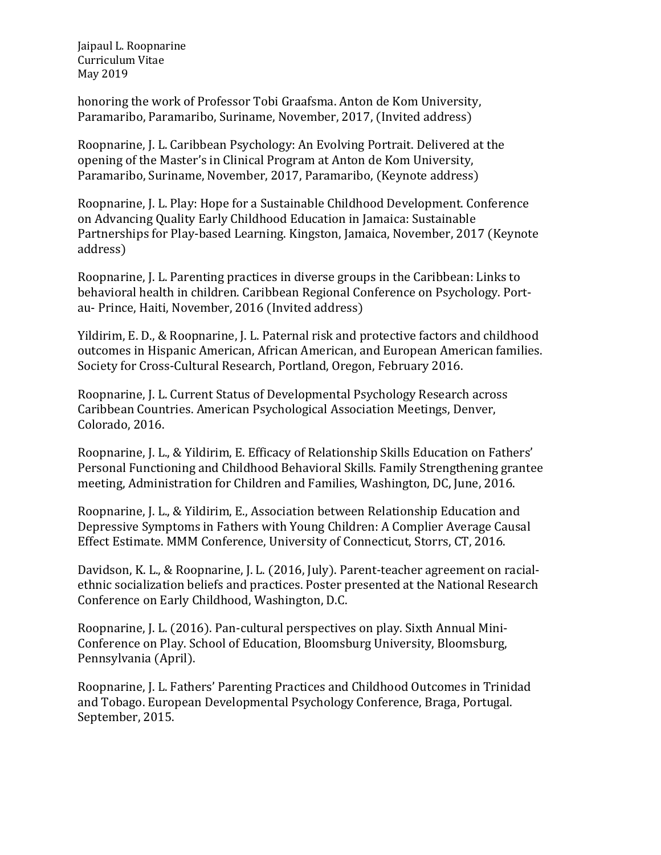honoring the work of Professor Tobi Graafsma. Anton de Kom University, Paramaribo, Paramaribo, Suriname, November, 2017, (Invited address)

Roopnarine, J. L. Caribbean Psychology: An Evolving Portrait. Delivered at the opening of the Master's in Clinical Program at Anton de Kom University, Paramaribo, Suriname, November, 2017, Paramaribo, (Keynote address)

Roopnarine, J. L. Play: Hope for a Sustainable Childhood Development. Conference on Advancing Quality Early Childhood Education in Jamaica: Sustainable Partnerships for Play-based Learning. Kingston, Jamaica, November, 2017 (Keynote address)

Roopnarine, J. L. Parenting practices in diverse groups in the Caribbean: Links to behavioral health in children. Caribbean Regional Conference on Psychology. Portau- Prince, Haiti, November, 2016 (Invited address)

Yildirim, E. D., & Roopnarine, J. L. Paternal risk and protective factors and childhood outcomes in Hispanic American, African American, and European American families. Society for Cross-Cultural Research, Portland, Oregon, February 2016.

Roopnarine, J. L. Current Status of Developmental Psychology Research across Caribbean Countries. American Psychological Association Meetings, Denver, Colorado, 2016.

Roopnarine, J. L., & Yildirim, E. Efficacy of Relationship Skills Education on Fathers' Personal Functioning and Childhood Behavioral Skills. Family Strengthening grantee meeting, Administration for Children and Families, Washington, DC, June, 2016.

Roopnarine, J. L., & Yildirim, E., Association between Relationship Education and Depressive Symptoms in Fathers with Young Children: A Complier Average Causal Effect Estimate. MMM Conference, University of Connecticut, Storrs, CT, 2016.

Davidson, K. L., & Roopnarine, J. L. (2016, July). Parent-teacher agreement on racialethnic socialization beliefs and practices. Poster presented at the National Research Conference on Early Childhood, Washington, D.C.

Roopnarine, J. L. (2016). Pan-cultural perspectives on play. Sixth Annual Mini-Conference on Play. School of Education, Bloomsburg University, Bloomsburg, Pennsylvania (April).

Roopnarine, J. L. Fathers' Parenting Practices and Childhood Outcomes in Trinidad and Tobago. European Developmental Psychology Conference, Braga, Portugal. September, 2015.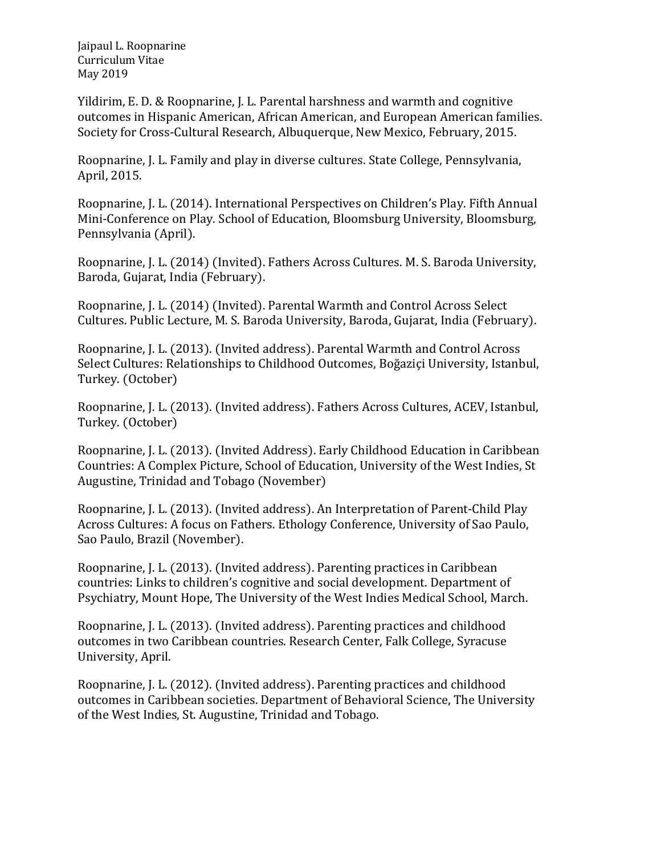Yildirim, E. D. & Roopnarine, J. L. Parental harshness and warmth and cognitive outcomes in Hispanic American, African American, and European American families. Society for Cross-Cultural Research, Albuquerque, New Mexico, February, 2015.

Roopnarine, J. L. Family and play in diverse cultures. State College, Pennsylvania, April, 2015.

Roopnarine, J. L. (2014). International Perspectives on Children's Play. Fifth Annual Mini-Conference on Play. School of Education, Bloomsburg University, Bloomsburg, Pennsylvania (April).

Roopnarine, J. L. (2014) (Invited). Fathers Across Cultures. M. S. Baroda University, Baroda, Gujarat, India (February).

Roopnarine, J. L. (2014) (Invited). Parental Warmth and Control Across Select Cultures. Public Lecture, M. S. Baroda University, Baroda, Gujarat, India (February).

Roopnarine, J. L. (2013). (Invited address). Parental Warmth and Control Across Select Cultures: Relationships to Childhood Outcomes, [Boğaziçi University](http://en.wikipedia.org/wiki/Bo%C4%9Fazi%C3%A7i_University), Istanbul, Turkey. (October)

Roopnarine, J. L. (2013). (Invited address). Fathers Across Cultures, ACEV, Istanbul, Turkey. (October)

Roopnarine, J. L. (2013). (Invited Address). Early Childhood Education in Caribbean Countries: A Complex Picture, School of Education, University of the West Indies, St Augustine, Trinidad and Tobago (November)

Roopnarine, J. L. (2013). (Invited address). An Interpretation of Parent-Child Play Across Cultures: A focus on Fathers. Ethology Conference, University of Sao Paulo, Sao Paulo, Brazil (November).

Roopnarine, J. L. (2013). (Invited address). Parenting practices in Caribbean countries: Links to children's cognitive and social development. Department of Psychiatry, Mount Hope, The University of the West Indies Medical School, March.

Roopnarine, J. L. (2013). (Invited address). Parenting practices and childhood outcomes in two Caribbean countries. Research Center, Falk College, Syracuse University, April.

Roopnarine, J. L. (2012). (Invited address). Parenting practices and childhood outcomes in Caribbean societies. Department of Behavioral Science, The University of the West Indies, St. Augustine, Trinidad and Tobago.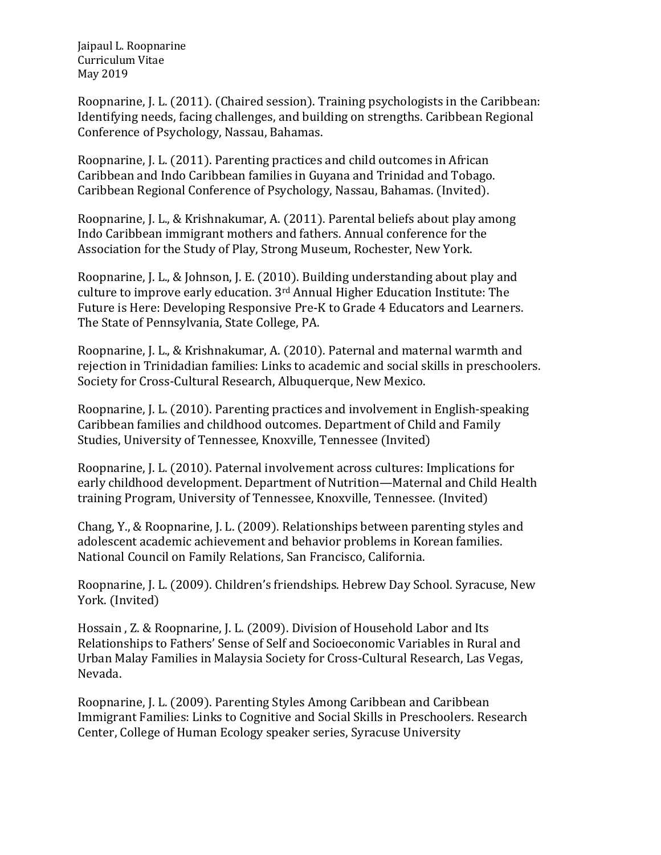Roopnarine, J. L. (2011). (Chaired session). Training psychologists in the Caribbean: Identifying needs, facing challenges, and building on strengths. Caribbean Regional Conference of Psychology, Nassau, Bahamas.

Roopnarine, J. L. (2011). Parenting practices and child outcomes in African Caribbean and Indo Caribbean families in Guyana and Trinidad and Tobago. Caribbean Regional Conference of Psychology, Nassau, Bahamas. (Invited).

Roopnarine, J. L., & Krishnakumar, A. (2011). Parental beliefs about play among Indo Caribbean immigrant mothers and fathers. Annual conference for the Association for the Study of Play, Strong Museum, Rochester, New York.

Roopnarine, J. L., & Johnson, J. E. (2010). Building understanding about play and culture to improve early education. 3rd Annual Higher Education Institute: The Future is Here: Developing Responsive Pre-K to Grade 4 Educators and Learners. The State of Pennsylvania, State College, PA.

Roopnarine, J. L., & Krishnakumar, A. (2010). Paternal and maternal warmth and rejection in Trinidadian families: Links to academic and social skills in preschoolers. Society for Cross-Cultural Research, Albuquerque, New Mexico.

Roopnarine, J. L. (2010). Parenting practices and involvement in English-speaking Caribbean families and childhood outcomes. Department of Child and Family Studies, University of Tennessee, Knoxville, Tennessee (Invited)

Roopnarine, J. L. (2010). Paternal involvement across cultures: Implications for early childhood development. Department of Nutrition—Maternal and Child Health training Program, University of Tennessee, Knoxville, Tennessee. (Invited)

Chang, Y., & Roopnarine, J. L. (2009). Relationships between parenting styles and adolescent academic achievement and behavior problems in Korean families. National Council on Family Relations, San Francisco, California.

Roopnarine, J. L. (2009). Children's friendships. Hebrew Day School. Syracuse, New York. (Invited)

Hossain , Z. & Roopnarine, J. L. (2009). Division of Household Labor and Its Relationships to Fathers' Sense of Self and Socioeconomic Variables in Rural and Urban Malay Families in Malaysia Society for Cross-Cultural Research, Las Vegas, Nevada.

Roopnarine, J. L. (2009). Parenting Styles Among Caribbean and Caribbean Immigrant Families: Links to Cognitive and Social Skills in Preschoolers. Research Center, College of Human Ecology speaker series, Syracuse University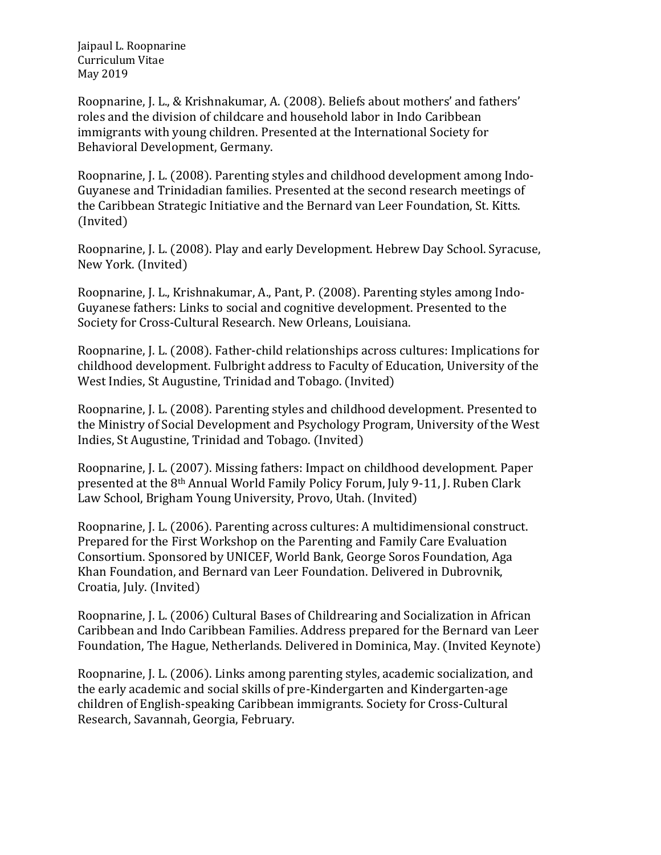Roopnarine, J. L., & Krishnakumar, A. (2008). Beliefs about mothers' and fathers' roles and the division of childcare and household labor in Indo Caribbean immigrants with young children. Presented at the International Society for Behavioral Development, Germany.

Roopnarine, J. L. (2008). Parenting styles and childhood development among Indo-Guyanese and Trinidadian families. Presented at the second research meetings of the Caribbean Strategic Initiative and the Bernard van Leer Foundation, St. Kitts. (Invited)

Roopnarine, J. L. (2008). Play and early Development. Hebrew Day School. Syracuse, New York. (Invited)

Roopnarine, J. L., Krishnakumar, A., Pant, P. (2008). Parenting styles among Indo-Guyanese fathers: Links to social and cognitive development. Presented to the Society for Cross-Cultural Research. New Orleans, Louisiana.

Roopnarine, J. L. (2008). Father-child relationships across cultures: Implications for childhood development. Fulbright address to Faculty of Education, University of the West Indies, St Augustine, Trinidad and Tobago. (Invited)

Roopnarine, J. L. (2008). Parenting styles and childhood development. Presented to the Ministry of Social Development and Psychology Program, University of the West Indies, St Augustine, Trinidad and Tobago. (Invited)

Roopnarine, J. L. (2007). Missing fathers: Impact on childhood development. Paper presented at the 8th Annual World Family Policy Forum, July 9-11, J. Ruben Clark Law School, Brigham Young University, Provo, Utah. (Invited)

Roopnarine, J. L. (2006). Parenting across cultures: A multidimensional construct. Prepared for the First Workshop on the Parenting and Family Care Evaluation Consortium. Sponsored by UNICEF, World Bank, George Soros Foundation, Aga Khan Foundation, and Bernard van Leer Foundation. Delivered in Dubrovnik, Croatia, July. (Invited)

Roopnarine, J. L. (2006) Cultural Bases of Childrearing and Socialization in African Caribbean and Indo Caribbean Families. Address prepared for the Bernard van Leer Foundation, The Hague, Netherlands. Delivered in Dominica, May. (Invited Keynote)

Roopnarine, J. L. (2006). Links among parenting styles, academic socialization, and the early academic and social skills of pre-Kindergarten and Kindergarten-age children of English-speaking Caribbean immigrants. Society for Cross-Cultural Research, Savannah, Georgia, February.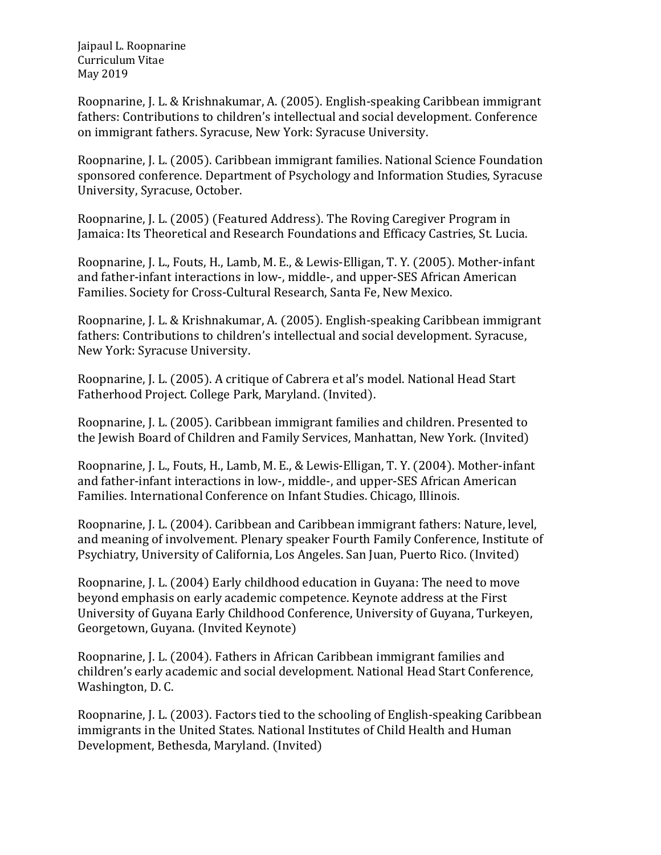Roopnarine, J. L. & Krishnakumar, A. (2005). English-speaking Caribbean immigrant fathers: Contributions to children's intellectual and social development. Conference on immigrant fathers. Syracuse, New York: Syracuse University.

Roopnarine, J. L. (2005). Caribbean immigrant families. National Science Foundation sponsored conference. Department of Psychology and Information Studies, Syracuse University, Syracuse, October.

Roopnarine, J. L. (2005) (Featured Address). The Roving Caregiver Program in Jamaica: Its Theoretical and Research Foundations and Efficacy Castries, St. Lucia.

Roopnarine, J. L., Fouts, H., Lamb, M. E., & Lewis-Elligan, T. Y. (2005). Mother-infant and father-infant interactions in low-, middle-, and upper-SES African American Families. Society for Cross-Cultural Research, Santa Fe, New Mexico.

Roopnarine, J. L. & Krishnakumar, A. (2005). English-speaking Caribbean immigrant fathers: Contributions to children's intellectual and social development. Syracuse, New York: Syracuse University.

Roopnarine, J. L. (2005). A critique of Cabrera et al's model. National Head Start Fatherhood Project. College Park, Maryland. (Invited).

Roopnarine, J. L. (2005). Caribbean immigrant families and children. Presented to the Jewish Board of Children and Family Services, Manhattan, New York. (Invited)

Roopnarine, J. L., Fouts, H., Lamb, M. E., & Lewis-Elligan, T. Y. (2004). Mother-infant and father-infant interactions in low-, middle-, and upper-SES African American Families. International Conference on Infant Studies. Chicago, Illinois.

Roopnarine, J. L. (2004). Caribbean and Caribbean immigrant fathers: Nature, level, and meaning of involvement. Plenary speaker Fourth Family Conference, Institute of Psychiatry, University of California, Los Angeles. San Juan, Puerto Rico. (Invited)

Roopnarine, J. L. (2004) Early childhood education in Guyana: The need to move beyond emphasis on early academic competence. Keynote address at the First University of Guyana Early Childhood Conference, University of Guyana, Turkeyen, Georgetown, Guyana. (Invited Keynote)

Roopnarine, J. L. (2004). Fathers in African Caribbean immigrant families and children's early academic and social development. National Head Start Conference, Washington, D. C.

Roopnarine, J. L. (2003). Factors tied to the schooling of English-speaking Caribbean immigrants in the United States. National Institutes of Child Health and Human Development, Bethesda, Maryland. (Invited)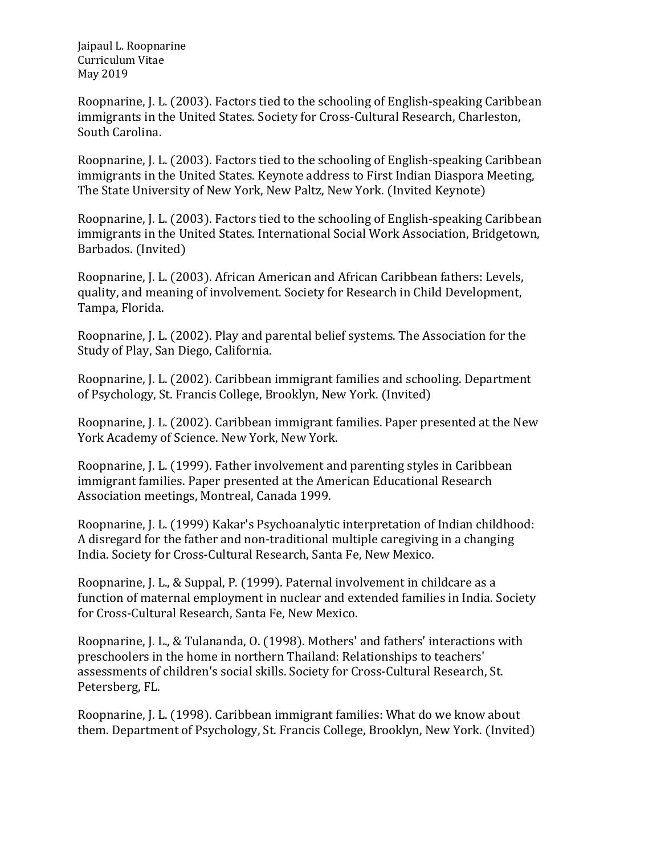Roopnarine, J. L. (2003). Factors tied to the schooling of English-speaking Caribbean immigrants in the United States. Society for Cross-Cultural Research, Charleston, South Carolina.

Roopnarine, J. L. (2003). Factors tied to the schooling of English-speaking Caribbean immigrants in the United States. Keynote address to First Indian Diaspora Meeting, The State University of New York, New Paltz, New York. (Invited Keynote)

Roopnarine, J. L. (2003). Factors tied to the schooling of English-speaking Caribbean immigrants in the United States. International Social Work Association, Bridgetown, Barbados. (Invited)

Roopnarine, J. L. (2003). African American and African Caribbean fathers: Levels, quality, and meaning of involvement. Society for Research in Child Development, Tampa, Florida.

Roopnarine, J. L. (2002). Play and parental belief systems. The Association for the Study of Play, San Diego, California.

Roopnarine, J. L. (2002). Caribbean immigrant families and schooling. Department of Psychology, St. Francis College, Brooklyn, New York. (Invited)

Roopnarine, J. L. (2002). Caribbean immigrant families. Paper presented at the New York Academy of Science. New York, New York.

Roopnarine, J. L. (1999). Father involvement and parenting styles in Caribbean immigrant families. Paper presented at the American Educational Research Association meetings, Montreal, Canada 1999.

Roopnarine, J. L. (1999) Kakar's Psychoanalytic interpretation of Indian childhood: A disregard for the father and non-traditional multiple caregiving in a changing India. Society for Cross-Cultural Research, Santa Fe, New Mexico.

Roopnarine, J. L., & Suppal, P. (1999). Paternal involvement in childcare as a function of maternal employment in nuclear and extended families in India. Society for Cross-Cultural Research, Santa Fe, New Mexico.

Roopnarine, J. L., & Tulananda, O. (1998). Mothers' and fathers' interactions with preschoolers in the home in northern Thailand: Relationships to teachers' assessments of children's social skills. Society for Cross-Cultural Research, St. Petersberg, FL.

Roopnarine, J. L. (1998). Caribbean immigrant families: What do we know about them. Department of Psychology, St. Francis College, Brooklyn, New York. (Invited)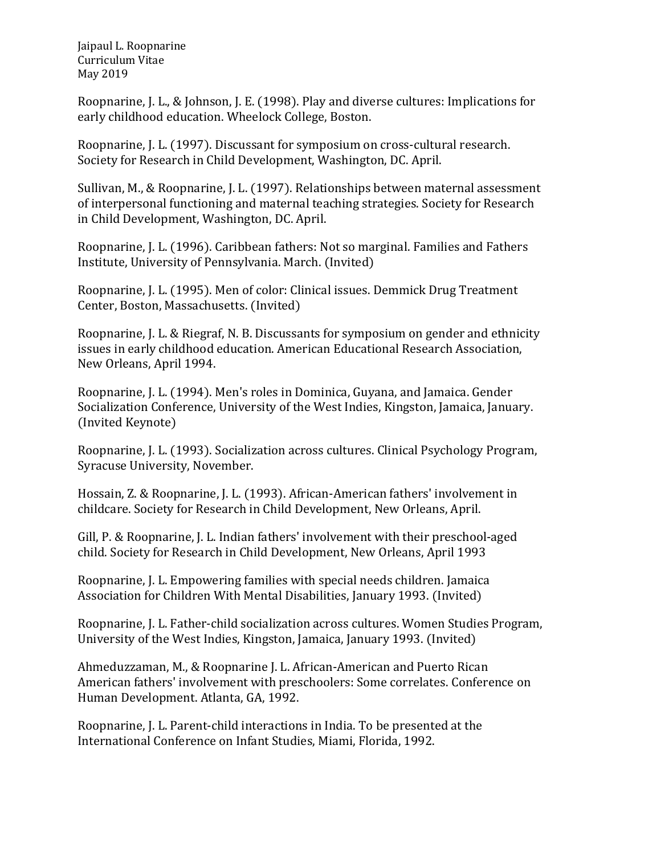Roopnarine, J. L., & Johnson, J. E. (1998). Play and diverse cultures: Implications for early childhood education. Wheelock College, Boston.

Roopnarine, J. L. (1997). Discussant for symposium on cross-cultural research. Society for Research in Child Development, Washington, DC. April.

Sullivan, M., & Roopnarine, J. L. (1997). Relationships between maternal assessment of interpersonal functioning and maternal teaching strategies. Society for Research in Child Development, Washington, DC. April.

Roopnarine, J. L. (1996). Caribbean fathers: Not so marginal. Families and Fathers Institute, University of Pennsylvania. March. (Invited)

Roopnarine, J. L. (1995). Men of color: Clinical issues. Demmick Drug Treatment Center, Boston, Massachusetts. (Invited)

Roopnarine, J. L. & Riegraf, N. B. Discussants for symposium on gender and ethnicity issues in early childhood education. American Educational Research Association, New Orleans, April 1994.

Roopnarine, J. L. (1994). Men's roles in Dominica, Guyana, and Jamaica. Gender Socialization Conference, University of the West Indies, Kingston, Jamaica, January. (Invited Keynote)

Roopnarine, J. L. (1993). Socialization across cultures. Clinical Psychology Program, Syracuse University, November.

Hossain, Z. & Roopnarine, J. L. (1993). African-American fathers' involvement in childcare. Society for Research in Child Development, New Orleans, April.

Gill, P. & Roopnarine, J. L. Indian fathers' involvement with their preschool-aged child. Society for Research in Child Development, New Orleans, April 1993

Roopnarine, J. L. Empowering families with special needs children. Jamaica Association for Children With Mental Disabilities, January 1993. (Invited)

Roopnarine, J. L. Father-child socialization across cultures. Women Studies Program, University of the West Indies, Kingston, Jamaica, January 1993. (Invited)

Ahmeduzzaman, M., & Roopnarine J. L. African-American and Puerto Rican American fathers' involvement with preschoolers: Some correlates. Conference on Human Development. Atlanta, GA, 1992.

Roopnarine, J. L. Parent-child interactions in India. To be presented at the International Conference on Infant Studies, Miami, Florida, 1992.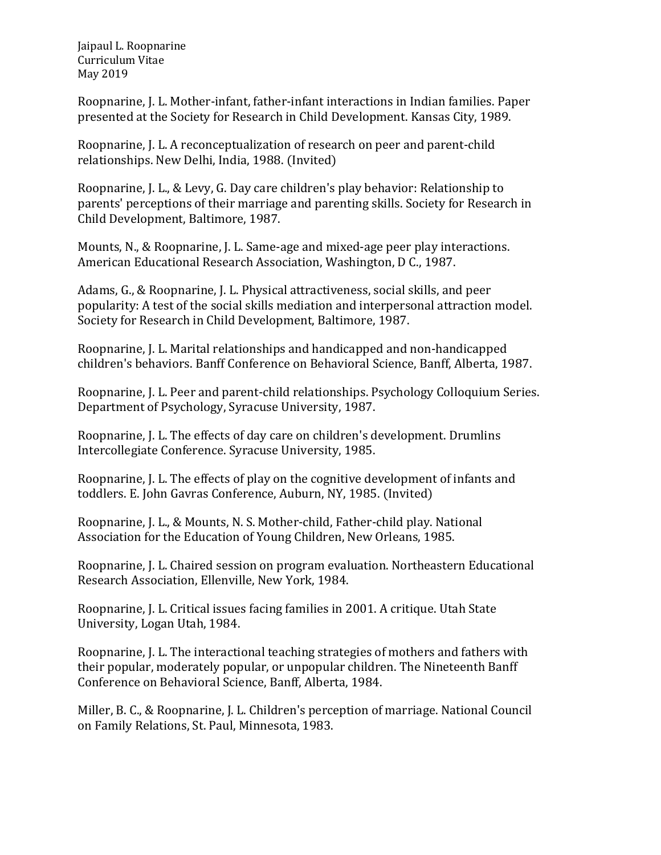Roopnarine, J. L. Mother-infant, father-infant interactions in Indian families. Paper presented at the Society for Research in Child Development. Kansas City, 1989.

Roopnarine, J. L. A reconceptualization of research on peer and parent-child relationships. New Delhi, India, 1988. (Invited)

Roopnarine, J. L., & Levy, G. Day care children's play behavior: Relationship to parents' perceptions of their marriage and parenting skills. Society for Research in Child Development, Baltimore, 1987.

Mounts, N., & Roopnarine, J. L. Same-age and mixed-age peer play interactions. American Educational Research Association, Washington, D C., 1987.

Adams, G., & Roopnarine, J. L. Physical attractiveness, social skills, and peer popularity: A test of the social skills mediation and interpersonal attraction model. Society for Research in Child Development, Baltimore, 1987.

Roopnarine, J. L. Marital relationships and handicapped and non-handicapped children's behaviors. Banff Conference on Behavioral Science, Banff, Alberta, 1987.

Roopnarine, J. L. Peer and parent-child relationships. Psychology Colloquium Series. Department of Psychology, Syracuse University, 1987.

Roopnarine, J. L. The effects of day care on children's development. Drumlins Intercollegiate Conference. Syracuse University, 1985.

Roopnarine, J. L. The effects of play on the cognitive development of infants and toddlers. E. John Gavras Conference, Auburn, NY, 1985. (Invited)

Roopnarine, J. L., & Mounts, N. S. Mother-child, Father-child play. National Association for the Education of Young Children, New Orleans, 1985.

Roopnarine, J. L. Chaired session on program evaluation. Northeastern Educational Research Association, Ellenville, New York, 1984.

Roopnarine, J. L. Critical issues facing families in 2001. A critique. Utah State University, Logan Utah, 1984.

Roopnarine, J. L. The interactional teaching strategies of mothers and fathers with their popular, moderately popular, or unpopular children. The Nineteenth Banff Conference on Behavioral Science, Banff, Alberta, 1984.

Miller, B. C., & Roopnarine, J. L. Children's perception of marriage. National Council on Family Relations, St. Paul, Minnesota, 1983.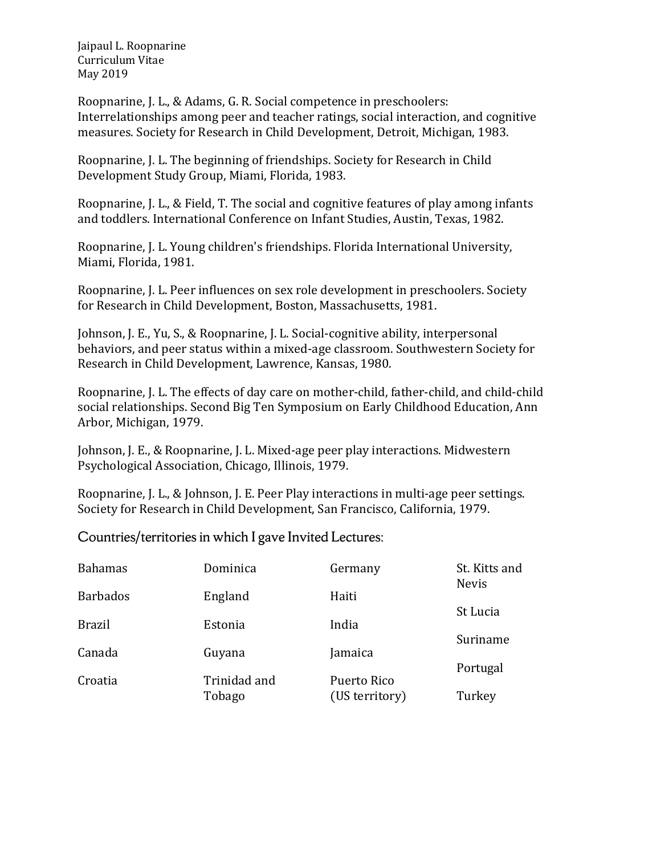Roopnarine, J. L., & Adams, G. R. Social competence in preschoolers: Interrelationships among peer and teacher ratings, social interaction, and cognitive measures. Society for Research in Child Development, Detroit, Michigan, 1983.

Roopnarine, J. L. The beginning of friendships. Society for Research in Child Development Study Group, Miami, Florida, 1983.

Roopnarine, J. L., & Field, T. The social and cognitive features of play among infants and toddlers. International Conference on Infant Studies, Austin, Texas, 1982.

Roopnarine, J. L. Young children's friendships. Florida International University, Miami, Florida, 1981.

Roopnarine, J. L. Peer influences on sex role development in preschoolers. Society for Research in Child Development, Boston, Massachusetts, 1981.

Johnson, J. E., Yu, S., & Roopnarine, J. L. Social-cognitive ability, interpersonal behaviors, and peer status within a mixed-age classroom. Southwestern Society for Research in Child Development, Lawrence, Kansas, 1980.

Roopnarine, J. L. The effects of day care on mother-child, father-child, and child-child social relationships. Second Big Ten Symposium on Early Childhood Education, Ann Arbor, Michigan, 1979.

Johnson, J. E., & Roopnarine, J. L. Mixed-age peer play interactions. Midwestern Psychological Association, Chicago, Illinois, 1979.

Roopnarine, J. L., & Johnson, J. E. Peer Play interactions in multi-age peer settings. Society for Research in Child Development, San Francisco, California, 1979.

Countries/territories in which I gave Invited Lectures:

| <b>Bahamas</b>  | Dominica     | Germany        | St. Kitts and<br><b>Nevis</b> |
|-----------------|--------------|----------------|-------------------------------|
| <b>Barbados</b> | England      | Haiti          | St Lucia                      |
| <b>Brazil</b>   | Estonia      | India          |                               |
| Canada          | Guyana       | Jamaica        | Suriname                      |
| Croatia         | Trinidad and | Puerto Rico    | Portugal                      |
|                 | Tobago       | (US territory) | Turkey                        |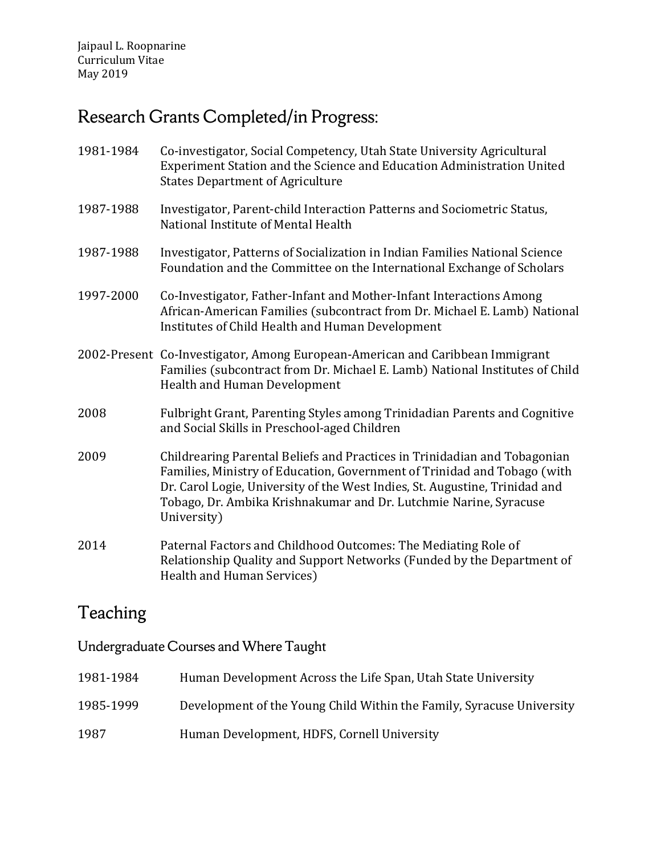# Research Grants Completed/in Progress:

- 1981-1984 Co-investigator, Social Competency, Utah State University Agricultural Experiment Station and the Science and Education Administration United States Department of Agriculture
- 1987-1988 Investigator, Parent-child Interaction Patterns and Sociometric Status, National Institute of Mental Health
- 1987-1988 Investigator, Patterns of Socialization in Indian Families National Science Foundation and the Committee on the International Exchange of Scholars
- 1997-2000 Co-Investigator, Father-Infant and Mother-Infant Interactions Among African-American Families (subcontract from Dr. Michael E. Lamb) National Institutes of Child Health and Human Development
- 2002-Present Co-Investigator, Among European-American and Caribbean Immigrant Families (subcontract from Dr. Michael E. Lamb) National Institutes of Child Health and Human Development
- 2008 Fulbright Grant, Parenting Styles among Trinidadian Parents and Cognitive and Social Skills in Preschool-aged Children
- 2009 Childrearing Parental Beliefs and Practices in Trinidadian and Tobagonian Families, Ministry of Education, Government of Trinidad and Tobago (with Dr. Carol Logie, University of the West Indies, St. Augustine, Trinidad and Tobago, Dr. Ambika Krishnakumar and Dr. Lutchmie Narine, Syracuse University)
- 2014 Paternal Factors and Childhood Outcomes: The Mediating Role of Relationship Quality and Support Networks (Funded by the Department of Health and Human Services)

### Teaching

Undergraduate Courses and Where Taught

| 1981-1984 | Human Development Across the Life Span, Utah State University         |
|-----------|-----------------------------------------------------------------------|
| 1985-1999 | Development of the Young Child Within the Family, Syracuse University |
| 1987      | Human Development, HDFS, Cornell University                           |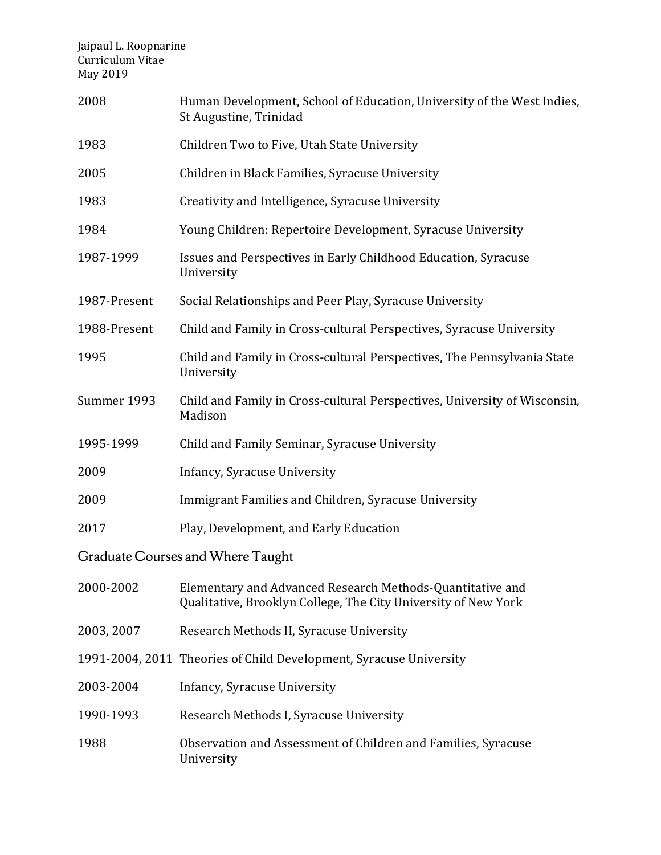| 2008                              | Human Development, School of Education, University of the West Indies,<br>St Augustine, Trinidad                            |  |
|-----------------------------------|-----------------------------------------------------------------------------------------------------------------------------|--|
| 1983                              | Children Two to Five, Utah State University                                                                                 |  |
| 2005                              | Children in Black Families, Syracuse University                                                                             |  |
| 1983                              | Creativity and Intelligence, Syracuse University                                                                            |  |
| 1984                              | Young Children: Repertoire Development, Syracuse University                                                                 |  |
| 1987-1999                         | Issues and Perspectives in Early Childhood Education, Syracuse<br>University                                                |  |
| 1987-Present                      | Social Relationships and Peer Play, Syracuse University                                                                     |  |
| 1988-Present                      | Child and Family in Cross-cultural Perspectives, Syracuse University                                                        |  |
| 1995                              | Child and Family in Cross-cultural Perspectives, The Pennsylvania State<br>University                                       |  |
| Summer 1993                       | Child and Family in Cross-cultural Perspectives, University of Wisconsin,<br>Madison                                        |  |
| 1995-1999                         | Child and Family Seminar, Syracuse University                                                                               |  |
| 2009                              | Infancy, Syracuse University                                                                                                |  |
| 2009                              | Immigrant Families and Children, Syracuse University                                                                        |  |
| 2017                              | Play, Development, and Early Education                                                                                      |  |
| Graduate Courses and Where Taught |                                                                                                                             |  |
| 2000-2002                         | Elementary and Advanced Research Methods-Quantitative and<br>Qualitative, Brooklyn College, The City University of New York |  |
| 2003, 2007                        | Research Methods II, Syracuse University                                                                                    |  |
|                                   | 1991-2004, 2011 Theories of Child Development, Syracuse University                                                          |  |
| 2003-2004                         | Infancy, Syracuse University                                                                                                |  |
| 1990-1993                         | Research Methods I, Syracuse University                                                                                     |  |
| 1988                              | Observation and Assessment of Children and Families, Syracuse<br>University                                                 |  |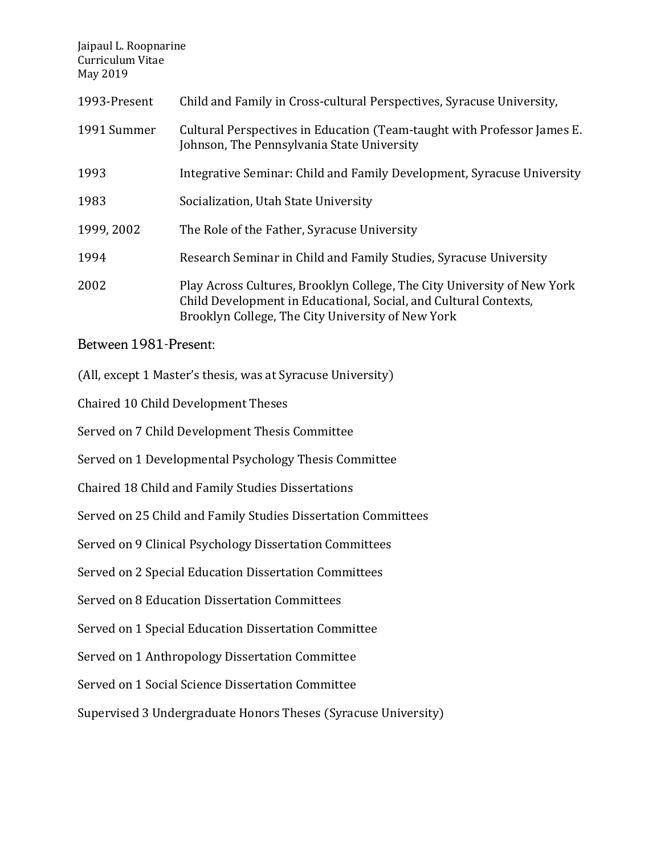| 1993-Present | Child and Family in Cross-cultural Perspectives, Syracuse University,                                                                                                                            |
|--------------|--------------------------------------------------------------------------------------------------------------------------------------------------------------------------------------------------|
| 1991 Summer  | Cultural Perspectives in Education (Team-taught with Professor James E.<br>Johnson, The Pennsylvania State University                                                                            |
| 1993         | Integrative Seminar: Child and Family Development, Syracuse University                                                                                                                           |
| 1983         | Socialization, Utah State University                                                                                                                                                             |
| 1999, 2002   | The Role of the Father, Syracuse University                                                                                                                                                      |
| 1994         | Research Seminar in Child and Family Studies, Syracuse University                                                                                                                                |
| 2002         | Play Across Cultures, Brooklyn College, The City University of New York<br>Child Development in Educational, Social, and Cultural Contexts,<br>Brooklyn College, The City University of New York |

#### Between 1981-Present:

(All, except 1 Master's thesis, was at Syracuse University)

Chaired 10 Child Development Theses

Served on 7 Child Development Thesis Committee

Served on 1 Developmental Psychology Thesis Committee

Chaired 18 Child and Family Studies Dissertations

Served on 25 Child and Family Studies Dissertation Committees

Served on 9 Clinical Psychology Dissertation Committees

Served on 2 Special Education Dissertation Committees

Served on 8 Education Dissertation Committees

Served on 1 Special Education Dissertation Committee

Served on 1 Anthropology Dissertation Committee

Served on 1 Social Science Dissertation Committee

Supervised 3 Undergraduate Honors Theses (Syracuse University)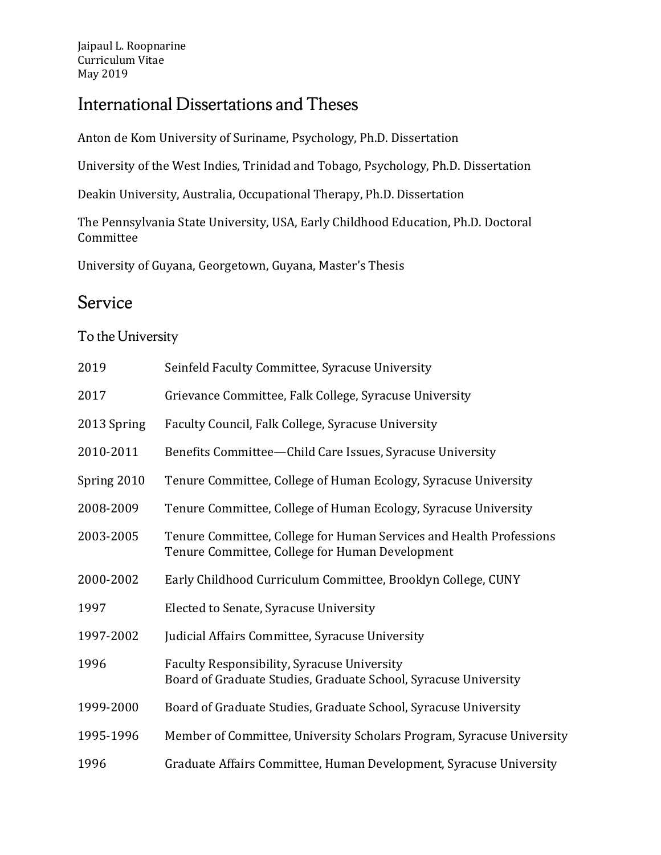# International Dissertations and Theses

Anton de Kom University of Suriname, Psychology, Ph.D. Dissertation

University of the West Indies, Trinidad and Tobago, Psychology, Ph.D. Dissertation

Deakin University, Australia, Occupational Therapy, Ph.D. Dissertation

The Pennsylvania State University, USA, Early Childhood Education, Ph.D. Doctoral Committee

University of Guyana, Georgetown, Guyana, Master's Thesis

# Service

#### To the University

| 2019        | Seinfeld Faculty Committee, Syracuse University                                                                        |
|-------------|------------------------------------------------------------------------------------------------------------------------|
| 2017        | Grievance Committee, Falk College, Syracuse University                                                                 |
| 2013 Spring | Faculty Council, Falk College, Syracuse University                                                                     |
| 2010-2011   | Benefits Committee-Child Care Issues, Syracuse University                                                              |
| Spring 2010 | Tenure Committee, College of Human Ecology, Syracuse University                                                        |
| 2008-2009   | Tenure Committee, College of Human Ecology, Syracuse University                                                        |
| 2003-2005   | Tenure Committee, College for Human Services and Health Professions<br>Tenure Committee, College for Human Development |
| 2000-2002   | Early Childhood Curriculum Committee, Brooklyn College, CUNY                                                           |
| 1997        | Elected to Senate, Syracuse University                                                                                 |
| 1997-2002   | Judicial Affairs Committee, Syracuse University                                                                        |
| 1996        | Faculty Responsibility, Syracuse University<br>Board of Graduate Studies, Graduate School, Syracuse University         |
| 1999-2000   | Board of Graduate Studies, Graduate School, Syracuse University                                                        |
| 1995-1996   | Member of Committee, University Scholars Program, Syracuse University                                                  |
| 1996        | Graduate Affairs Committee, Human Development, Syracuse University                                                     |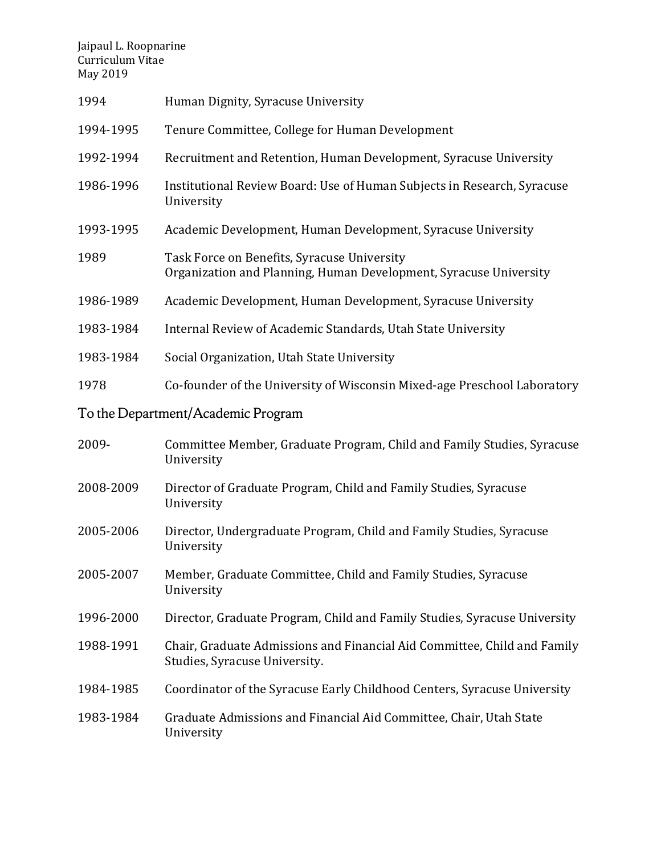| 1994      | Human Dignity, Syracuse University                                                                               |
|-----------|------------------------------------------------------------------------------------------------------------------|
| 1994-1995 | Tenure Committee, College for Human Development                                                                  |
| 1992-1994 | Recruitment and Retention, Human Development, Syracuse University                                                |
| 1986-1996 | Institutional Review Board: Use of Human Subjects in Research, Syracuse<br>University                            |
| 1993-1995 | Academic Development, Human Development, Syracuse University                                                     |
| 1989      | Task Force on Benefits, Syracuse University<br>Organization and Planning, Human Development, Syracuse University |
| 1986-1989 | Academic Development, Human Development, Syracuse University                                                     |
| 1983-1984 | Internal Review of Academic Standards, Utah State University                                                     |
| 1983-1984 | Social Organization, Utah State University                                                                       |
| 1978      | Co-founder of the University of Wisconsin Mixed-age Preschool Laboratory                                         |
|           | To the Department/Academic Program                                                                               |
| 2009-     | Committee Member, Graduate Program, Child and Family Studies, Syracuse<br>University                             |
| 2008-2009 | Director of Graduate Program, Child and Family Studies, Syracuse<br>University                                   |
| 2005-2006 | Director, Undergraduate Program, Child and Family Studies, Syracuse<br>University                                |
| 2005-2007 | Member, Graduate Committee, Child and Family Studies, Syracuse<br>University                                     |
| 1996-2000 | Director, Graduate Program, Child and Family Studies, Syracuse University                                        |
| 1988-1991 | Chair, Graduate Admissions and Financial Aid Committee, Child and Family<br>Studies, Syracuse University.        |
| 1984-1985 | Coordinator of the Syracuse Early Childhood Centers, Syracuse University                                         |
| 1983-1984 | Graduate Admissions and Financial Aid Committee, Chair, Utah State<br>University                                 |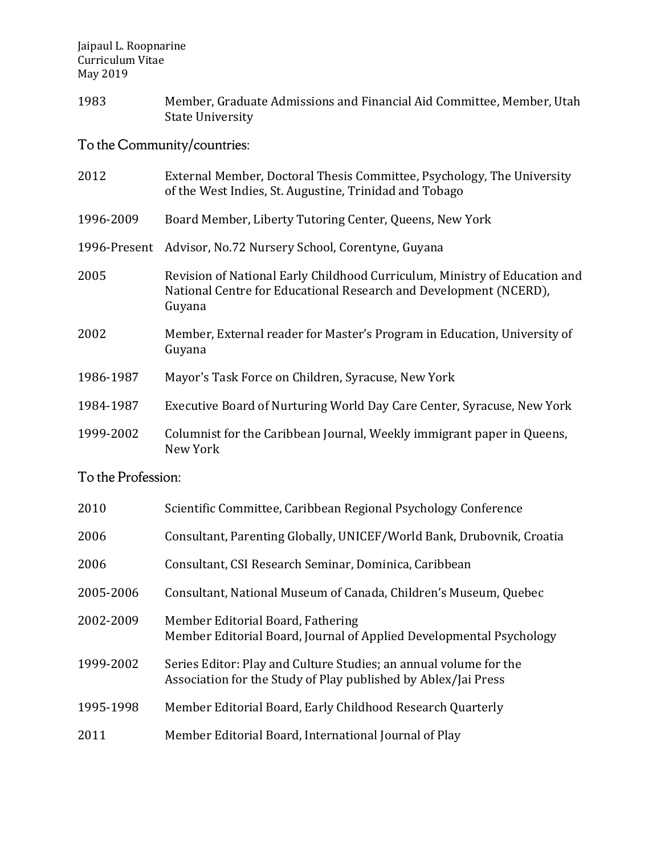1983 Member, Graduate Admissions and Financial Aid Committee, Member, Utah State University

To the Community/countries:

| 2012               | External Member, Doctoral Thesis Committee, Psychology, The University<br>of the West Indies, St. Augustine, Trinidad and Tobago                          |  |
|--------------------|-----------------------------------------------------------------------------------------------------------------------------------------------------------|--|
| 1996-2009          | Board Member, Liberty Tutoring Center, Queens, New York                                                                                                   |  |
| 1996-Present       | Advisor, No.72 Nursery School, Corentyne, Guyana                                                                                                          |  |
| 2005               | Revision of National Early Childhood Curriculum, Ministry of Education and<br>National Centre for Educational Research and Development (NCERD),<br>Guyana |  |
| 2002               | Member, External reader for Master's Program in Education, University of<br>Guyana                                                                        |  |
| 1986-1987          | Mayor's Task Force on Children, Syracuse, New York                                                                                                        |  |
| 1984-1987          | Executive Board of Nurturing World Day Care Center, Syracuse, New York                                                                                    |  |
| 1999-2002          | Columnist for the Caribbean Journal, Weekly immigrant paper in Queens,<br>New York                                                                        |  |
| To the Profession: |                                                                                                                                                           |  |
| 2010               | Scientific Committee, Caribbean Regional Psychology Conference                                                                                            |  |
| 2006               | Consultant, Parenting Globally, UNICEF/World Bank, Drubovnik, Croatia                                                                                     |  |
| 2006               | Consultant, CSI Research Seminar, Dominica, Caribbean                                                                                                     |  |

- 2005-2006 Consultant, National Museum of Canada, Children's Museum, Quebec
- 2002-2009 Member Editorial Board, Fathering Member Editorial Board, Journal of Applied Developmental Psychology
- 1999-2002 Series Editor: Play and Culture Studies; an annual volume for the Association for the Study of Play published by Ablex/Jai Press
- 1995-1998 Member Editorial Board, Early Childhood Research Quarterly
- 2011 Member Editorial Board, International Journal of Play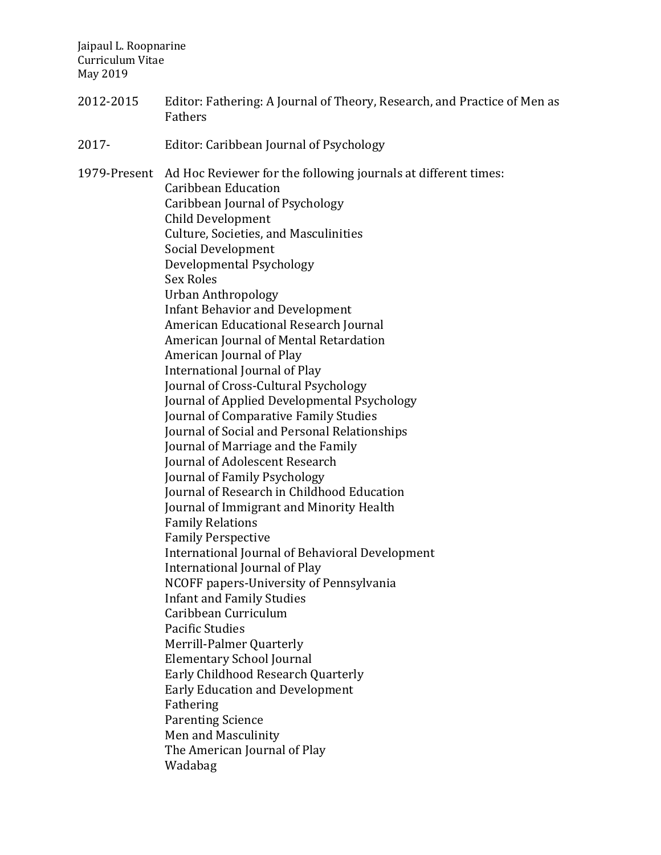- 2012-2015 Editor: Fathering: A Journal of Theory, Research, and Practice of Men as Fathers
- 2017- Editor: Caribbean Journal of Psychology

1979-Present Ad Hoc Reviewer for the following journals at different times: Caribbean Education Caribbean Journal of Psychology Child Development Culture, Societies, and Masculinities Social Development Developmental Psychology Sex Roles Urban Anthropology Infant Behavior and Development American Educational Research Journal American Journal of Mental Retardation American Journal of Play International Journal of Play Journal of Cross-Cultural Psychology Journal of Applied Developmental Psychology Journal of Comparative Family Studies Journal of Social and Personal Relationships Journal of Marriage and the Family Journal of Adolescent Research Journal of Family Psychology Journal of Research in Childhood Education Journal of Immigrant and Minority Health Family Relations Family Perspective International Journal of Behavioral Development International Journal of Play NCOFF papers-University of Pennsylvania Infant and Family Studies Caribbean Curriculum Pacific Studies Merrill-Palmer Quarterly Elementary School Journal Early Childhood Research Quarterly Early Education and Development Fathering Parenting Science Men and Masculinity The American Journal of Play Wadabag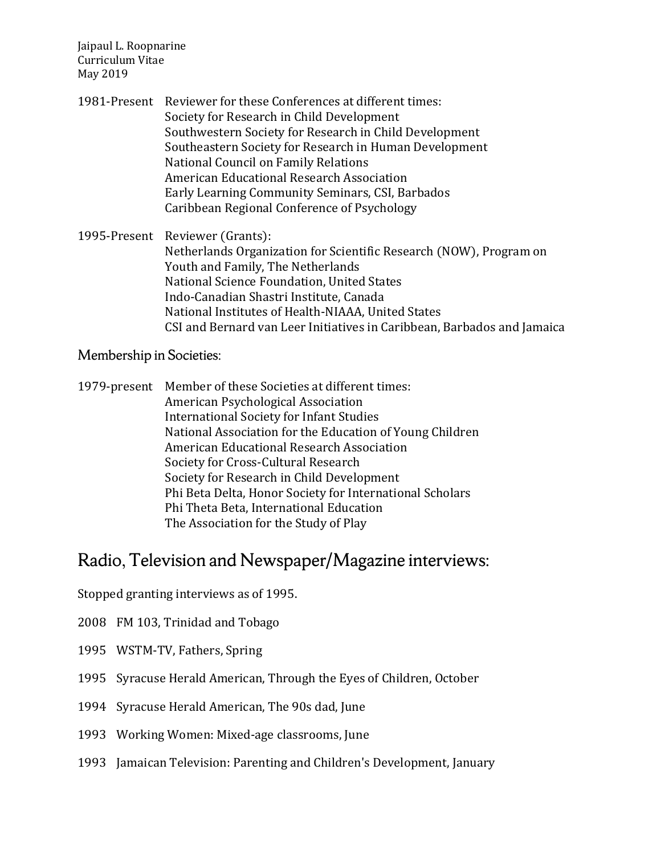1981-Present Reviewer for these Conferences at different times: Society for Research in Child Development Southwestern Society for Research in Child Development Southeastern Society for Research in Human Development National Council on Family Relations American Educational Research Association Early Learning Community Seminars, CSI, Barbados Caribbean Regional Conference of Psychology

1995-Present Reviewer (Grants): Netherlands Organization for Scientific Research (NOW), Program on Youth and Family, The Netherlands National Science Foundation, United States Indo-Canadian Shastri Institute, Canada National Institutes of Health-NIAAA, United States CSI and Bernard van Leer Initiatives in Caribbean, Barbados and Jamaica

#### Membership in Societies:

1979-present Member of these Societies at different times: American Psychological Association International Society for Infant Studies National Association for the Education of Young Children American Educational Research Association Society for Cross-Cultural Research Society for Research in Child Development Phi Beta Delta, Honor Society for International Scholars Phi Theta Beta, International Education The Association for the Study of Play

### Radio, Television and Newspaper/Magazine interviews:

Stopped granting interviews as of 1995.

- 2008 FM 103, Trinidad and Tobago
- 1995 WSTM-TV, Fathers, Spring
- 1995 Syracuse Herald American, Through the Eyes of Children, October
- 1994 Syracuse Herald American, The 90s dad, June
- 1993 Working Women: Mixed-age classrooms, June
- 1993 Jamaican Television: Parenting and Children's Development, January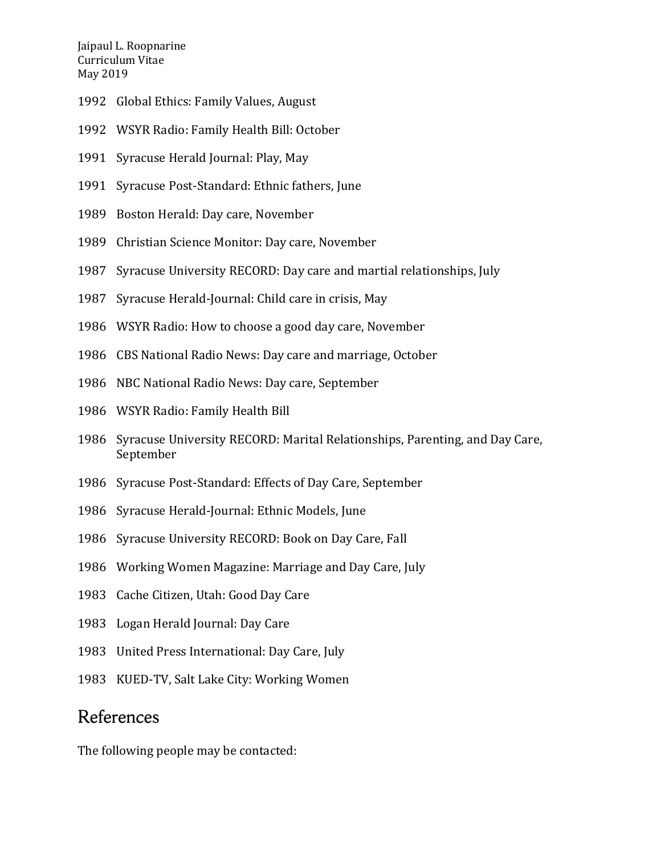- Global Ethics: Family Values, August
- WSYR Radio: Family Health Bill: October
- Syracuse Herald Journal: Play, May
- Syracuse Post-Standard: Ethnic fathers, June
- Boston Herald: Day care, November
- Christian Science Monitor: Day care, November
- Syracuse University RECORD: Day care and martial relationships, July
- Syracuse Herald-Journal: Child care in crisis, May
- WSYR Radio: How to choose a good day care, November
- CBS National Radio News: Day care and marriage, October
- NBC National Radio News: Day care, September
- WSYR Radio: Family Health Bill
- Syracuse University RECORD: Marital Relationships, Parenting, and Day Care, September
- Syracuse Post-Standard: Effects of Day Care, September
- Syracuse Herald-Journal: Ethnic Models, June
- Syracuse University RECORD: Book on Day Care, Fall
- Working Women Magazine: Marriage and Day Care, July
- Cache Citizen, Utah: Good Day Care
- Logan Herald Journal: Day Care
- United Press International: Day Care, July
- KUED-TV, Salt Lake City: Working Women

### References

The following people may be contacted: